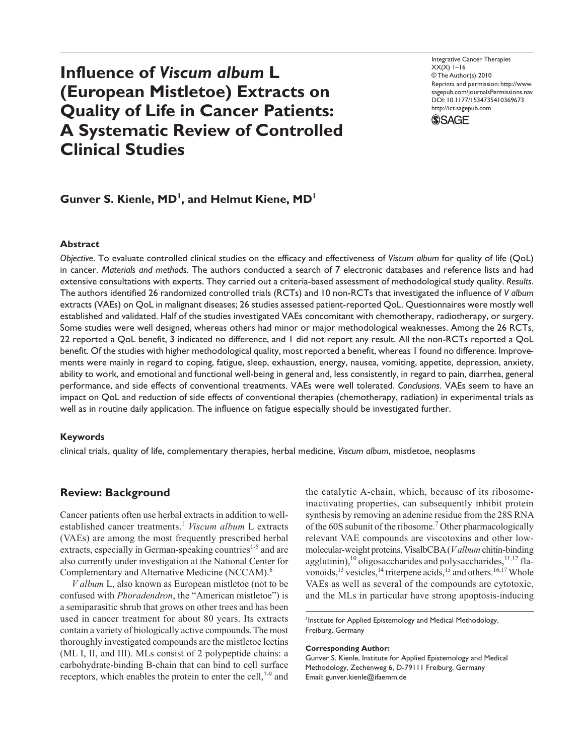# **Influence of** *Viscum album* **L (European Mistletoe) Extracts on Quality of Life in Cancer Patients: A Systematic Review of Controlled Clinical Studies**

Integrative Cancer Therapies  $XX(X)$  1–16 © The Author(s) 2010 Reprints and permission: http://www. sagepub.com/journalsPermissions.nav DOI: 10.1177/1534735410369673 http://ict.sagepub.com



# Gunver S. Kienle, MD<sup>1</sup>, and Helmut Kiene, MD<sup>1</sup>

#### **Abstract**

*Objective*. To evaluate controlled clinical studies on the efficacy and effectiveness of *Viscum album* for quality of life (QoL) in cancer. *Materials and methods*. The authors conducted a search of 7 electronic databases and reference lists and had extensive consultations with experts. They carried out a criteria-based assessment of methodological study quality. *Results*. The authors identified 26 randomized controlled trials (RCTs) and 10 non-RCTs that investigated the influence of *V album* extracts (VAEs) on QoL in malignant diseases; 26 studies assessed patient-reported QoL. Questionnaires were mostly well established and validated. Half of the studies investigated VAEs concomitant with chemotherapy, radiotherapy, or surgery. Some studies were well designed, whereas others had minor or major methodological weaknesses. Among the 26 RCTs, 22 reported a QoL benefit, 3 indicated no difference, and 1 did not report any result. All the non-RCTs reported a QoL benefit. Of the studies with higher methodological quality, most reported a benefit, whereas 1 found no difference. Improvements were mainly in regard to coping, fatigue, sleep, exhaustion, energy, nausea, vomiting, appetite, depression, anxiety, ability to work, and emotional and functional well-being in general and, less consistently, in regard to pain, diarrhea, general performance, and side effects of conventional treatments. VAEs were well tolerated. *Conclusions*. VAEs seem to have an impact on QoL and reduction of side effects of conventional therapies (chemotherapy, radiation) in experimental trials as well as in routine daily application. The influence on fatigue especially should be investigated further.

#### **Keywords**

clinical trials, quality of life, complementary therapies, herbal medicine, *Viscum album*, mistletoe, neoplasms

#### **Review: Background**

Cancer patients often use herbal extracts in addition to wellestablished cancer treatments.1 *Viscum album* L extracts (VAEs) are among the most frequently prescribed herbal extracts, especially in German-speaking countries<sup>1-5</sup> and are also currently under investigation at the National Center for Complementary and Alternative Medicine (NCCAM).6

*V album* L, also known as European mistletoe (not to be confused with *Phoradendron*, the "American mistletoe") is a semiparasitic shrub that grows on other trees and has been used in cancer treatment for about 80 years. Its extracts contain a variety of biologically active compounds. The most thoroughly investigated compounds are the mistletoe lectins (ML I, II, and III). MLs consist of 2 polypeptide chains: a carbohydrate-binding B-chain that can bind to cell surface receptors, which enables the protein to enter the cell, $7-9$  and

the catalytic A-chain, which, because of its ribosomeinactivating properties, can subsequently inhibit protein synthesis by removing an adenine residue from the 28S RNA of the 60S subunit of the ribosome.7 Other pharmacologically relevant VAE compounds are viscotoxins and other lowmolecular-weight proteins, VisalbCBA (*V album* chitin-binding agglutinin),<sup>10</sup> oligosaccharides and polysaccharides, $11,12$  flavonoids,  $^{13}$  vesicles,  $^{14}$  triterpene acids,  $^{15}$  and others.  $^{16,17}$  Whole VAEs as well as several of the compounds are cytotoxic, and the MLs in particular have strong apoptosis-inducing

<sup>1</sup>Institute for Applied Epistemology and Medical Methodology, Freiburg, Germany

#### **Corresponding Author:**

Gunver S. Kienle, Institute for Applied Epistemology and Medical Methodology, Zechenweg 6, D-79111 Freiburg, Germany Email: gunver.kienle@ifaemm.de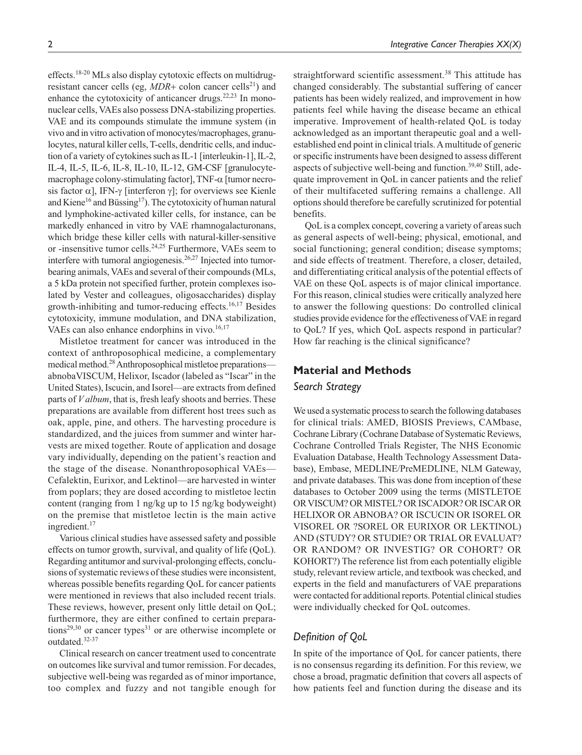effects.18-20 MLs also display cytotoxic effects on multidrugresistant cancer cells (eg, *MDR*+ colon cancer cells<sup>21</sup>) and enhance the cytotoxicity of anticancer drugs.<sup>22,23</sup> In mononuclear cells, VAEs also possess DNA-stabilizing properties. VAE and its compounds stimulate the immune system (in vivo and in vitro activation of monocytes/macrophages, granulocytes, natural killer cells, T-cells, dendritic cells, and induction of a variety of cytokines such as IL-1 [interleukin-1], IL-2, IL-4, IL-5, IL-6, IL-8, IL-10, IL-12, GM-CSF [granulocytemacrophage colony-stimulating factor], TNF- $\alpha$  [tumor necrosis factor  $\alpha$ ], IFN-γ [interferon γ]; for overviews see Kienle and Kiene<sup>16</sup> and Büssing<sup>17</sup>). The cytotoxicity of human natural and lymphokine-activated killer cells, for instance, can be markedly enhanced in vitro by VAE rhamnogalacturonans, which bridge these killer cells with natural-killer-sensitive or -insensitive tumor cells.<sup>24,25</sup> Furthermore, VAEs seem to interfere with tumoral angiogenesis.26,27 Injected into tumorbearing animals, VAEs and several of their compounds (MLs, a 5 kDa protein not specified further, protein complexes isolated by Vester and colleagues, oligosaccharides) display growth-inhibiting and tumor-reducing effects.16,17 Besides cytotoxicity, immune modulation, and DNA stabilization, VAEs can also enhance endorphins in vivo.<sup>16,17</sup>

Mistletoe treatment for cancer was introduced in the context of anthroposophical medicine, a complementary medical method.28 Anthroposophical mistletoe preparations abnobaVISCUM, Helixor, Iscador (labeled as "Iscar" in the United States), Iscucin, and Isorel—are extracts from defined parts of *V album*, that is, fresh leafy shoots and berries. These preparations are available from different host trees such as oak, apple, pine, and others. The harvesting procedure is standardized, and the juices from summer and winter harvests are mixed together. Route of application and dosage vary individually, depending on the patient's reaction and the stage of the disease. Nonanthroposophical VAEs— Cefalektin, Eurixor, and Lektinol—are harvested in winter from poplars; they are dosed according to mistletoe lectin content (ranging from 1 ng/kg up to 15 ng/kg bodyweight) on the premise that mistletoe lectin is the main active ingredient.<sup>17</sup>

Various clinical studies have assessed safety and possible effects on tumor growth, survival, and quality of life (QoL). Regarding antitumor and survival-prolonging effects, conclusions of systematic reviews of these studies were inconsistent, whereas possible benefits regarding QoL for cancer patients were mentioned in reviews that also included recent trials. These reviews, however, present only little detail on QoL; furthermore, they are either confined to certain preparations<sup>29,30</sup> or cancer types<sup>31</sup> or are otherwise incomplete or outdated.32-37

Clinical research on cancer treatment used to concentrate on outcomes like survival and tumor remission. For decades, subjective well-being was regarded as of minor importance, too complex and fuzzy and not tangible enough for straightforward scientific assessment.<sup>38</sup> This attitude has changed considerably. The substantial suffering of cancer patients has been widely realized, and improvement in how patients feel while having the disease became an ethical imperative. Improvement of health-related QoL is today acknowledged as an important therapeutic goal and a wellestablished end point in clinical trials. A multitude of generic or specific instruments have been designed to assess different aspects of subjective well-being and function.<sup>39,40</sup> Still, adequate improvement in QoL in cancer patients and the relief of their multifaceted suffering remains a challenge. All options should therefore be carefully scrutinized for potential benefits.

QoL is a complex concept, covering a variety of areas such as general aspects of well-being; physical, emotional, and social functioning; general condition; disease symptoms; and side effects of treatment. Therefore, a closer, detailed, and differentiating critical analysis of the potential effects of VAE on these QoL aspects is of major clinical importance. For this reason, clinical studies were critically analyzed here to answer the following questions: Do controlled clinical studies provide evidence for the effectiveness of VAE in regard to QoL? If yes, which QoL aspects respond in particular? How far reaching is the clinical significance?

# **Material and Methods**

#### *Search Strategy*

We used a systematic process to search the following databases for clinical trials: AMED, BIOSIS Previews, CAMbase, Cochrane Library (Cochrane Database of Systematic Reviews, Cochrane Controlled Trials Register, The NHS Economic Evaluation Database, Health Technology Assessment Database), Embase, MEDLINE/PreMEDLINE, NLM Gateway, and private databases. This was done from inception of these databases to October 2009 using the terms (MISTLETOE OR VISCUM? OR MISTEL? OR ISCADOR? OR ISCAR OR HELIXOR OR ABNOBA? OR ISCUCIN OR ISOREL OR VISOREL OR ?SOREL OR EURIXOR OR LEKTINOL) AND (STUDY? OR STUDIE? OR TRIAL OR EVALUAT? OR RANDOM? OR INVESTIG? OR COHORT? OR KOHORT?) The reference list from each potentially eligible study, relevant review article, and textbook was checked, and experts in the field and manufacturers of VAE preparations were contacted for additional reports. Potential clinical studies were individually checked for QoL outcomes.

#### *Definition of QoL*

In spite of the importance of QoL for cancer patients, there is no consensus regarding its definition. For this review, we chose a broad, pragmatic definition that covers all aspects of how patients feel and function during the disease and its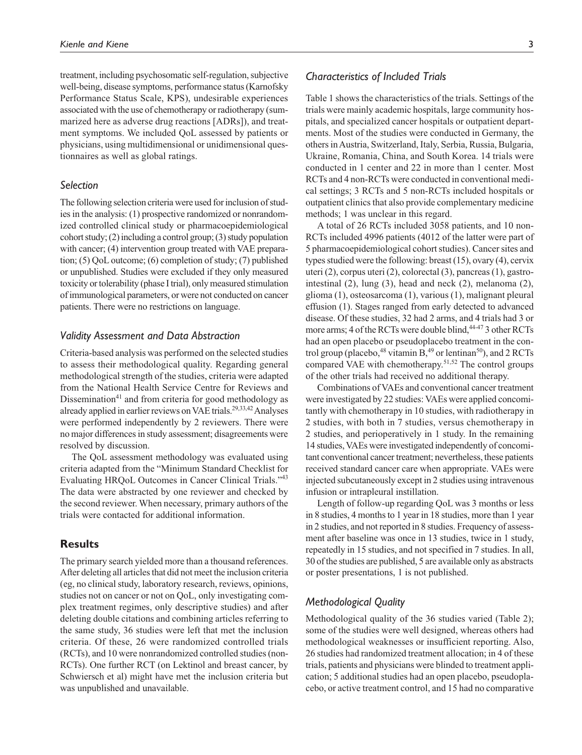treatment, including psychosomatic self-regulation, subjective well-being, disease symptoms, performance status (Karnofsky Performance Status Scale, KPS), undesirable experiences associated with the use of chemotherapy or radiotherapy (summarized here as adverse drug reactions [ADRs]), and treatment symptoms. We included QoL assessed by patients or physicians, using multidimensional or unidimensional questionnaires as well as global ratings.

#### *Selection*

The following selection criteria were used for inclusion of studies in the analysis: (1) prospective randomized or nonrandomized controlled clinical study or pharmacoepidemiological cohort study; (2) including a control group; (3) study population with cancer; (4) intervention group treated with VAE preparation; (5) QoL outcome; (6) completion of study; (7) published or unpublished. Studies were excluded if they only measured toxicity or tolerability (phase I trial), only measured stimulation of immunological parameters, or were not conducted on cancer patients. There were no restrictions on language.

#### *Validity Assessment and Data Abstraction*

Criteria-based analysis was performed on the selected studies to assess their methodological quality. Regarding general methodological strength of the studies, criteria were adapted from the National Health Service Centre for Reviews and Dissemination $41$  and from criteria for good methodology as already applied in earlier reviews on VAE trials.29,33,42 Analyses were performed independently by 2 reviewers. There were no major differences in study assessment; disagreements were resolved by discussion.

The QoL assessment methodology was evaluated using criteria adapted from the "Minimum Standard Checklist for Evaluating HRQoL Outcomes in Cancer Clinical Trials."43 The data were abstracted by one reviewer and checked by the second reviewer. When necessary, primary authors of the trials were contacted for additional information.

#### **Results**

The primary search yielded more than a thousand references. After deleting all articles that did not meet the inclusion criteria (eg, no clinical study, laboratory research, reviews, opinions, studies not on cancer or not on QoL, only investigating complex treatment regimes, only descriptive studies) and after deleting double citations and combining articles referring to the same study, 36 studies were left that met the inclusion criteria. Of these, 26 were randomized controlled trials (RCTs), and 10 were nonrandomized controlled studies (non-RCTs). One further RCT (on Lektinol and breast cancer, by Schwiersch et al) might have met the inclusion criteria but was unpublished and unavailable.

#### *Characteristics of Included Trials*

Table 1 shows the characteristics of the trials. Settings of the trials were mainly academic hospitals, large community hospitals, and specialized cancer hospitals or outpatient departments. Most of the studies were conducted in Germany, the others in Austria, Switzerland, Italy, Serbia, Russia, Bulgaria, Ukraine, Romania, China, and South Korea. 14 trials were conducted in 1 center and 22 in more than 1 center. Most RCTs and 4 non-RCTs were conducted in conventional medical settings; 3 RCTs and 5 non-RCTs included hospitals or outpatient clinics that also provide complementary medicine methods; 1 was unclear in this regard.

A total of 26 RCTs included 3058 patients, and 10 non-RCTs included 4996 patients (4012 of the latter were part of 5 pharmacoepidemiological cohort studies). Cancer sites and types studied were the following: breast (15), ovary (4), cervix uteri (2), corpus uteri (2), colorectal (3), pancreas (1), gastrointestinal (2), lung (3), head and neck (2), melanoma (2), glioma (1), osteosarcoma (1), various (1), malignant pleural effusion (1). Stages ranged from early detected to advanced disease. Of these studies, 32 had 2 arms, and 4 trials had 3 or more arms; 4 of the RCTs were double blind,  $44-47$  3 other RCTs had an open placebo or pseudoplacebo treatment in the control group (placebo,  $48$  vitamin B,  $49$  or lentinan $50$ ), and 2 RCTs compared VAE with chemotherapy.51,52 The control groups of the other trials had received no additional therapy.

Combinations of VAEs and conventional cancer treatment were investigated by 22 studies: VAEs were applied concomitantly with chemotherapy in 10 studies, with radiotherapy in 2 studies, with both in 7 studies, versus chemotherapy in 2 studies, and perioperatively in 1 study. In the remaining 14 studies, VAEs were investigated independently of concomitant conventional cancer treatment; nevertheless, these patients received standard cancer care when appropriate. VAEs were injected subcutaneously except in 2 studies using intravenous infusion or intrapleural instillation.

Length of follow-up regarding QoL was 3 months or less in 8 studies, 4 months to 1 year in 18 studies, more than 1 year in 2 studies, and not reported in 8 studies. Frequency of assessment after baseline was once in 13 studies, twice in 1 study, repeatedly in 15 studies, and not specified in 7 studies. In all, 30 of the studies are published, 5 are available only as abstracts or poster presentations, 1 is not published.

# *Methodological Quality*

Methodological quality of the 36 studies varied (Table 2); some of the studies were well designed, whereas others had methodological weaknesses or insufficient reporting. Also, 26 studies had randomized treatment allocation; in 4 of these trials, patients and physicians were blinded to treatment application; 5 additional studies had an open placebo, pseudoplacebo, or active treatment control, and 15 had no comparative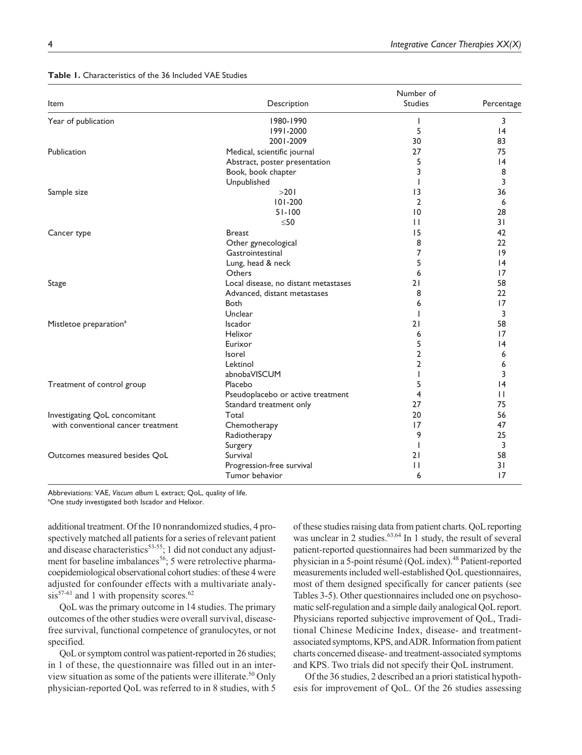| <b>Studies</b><br>Description<br>Percentage<br>Year of publication<br>1980-1990<br>3<br>I<br>5<br>1991-2000<br> 4<br>2001-2009<br>30<br>83<br>27<br>75<br>Publication<br>Medical, scientific journal<br> 4<br>5<br>Abstract, poster presentation<br>3<br>8<br>Book, book chapter<br>3<br>Unpublished<br>ı<br> 3<br>>201<br>36<br>Sample size<br>$101 - 200$<br>$\overline{2}$<br>6<br>$51 - 100$<br>10<br>28<br>31<br>$<$ 50<br>$\mathsf{H}$<br>15<br>42<br><b>Breast</b><br>Cancer type<br>22<br>Other gynecological<br>8<br>7<br> 9<br>Gastrointestinal<br>5<br> 4<br>Lung, head & neck<br>17<br>Others<br>6<br>58<br>Local disease, no distant metastases<br>21<br>Stage<br>8<br>22<br>Advanced, distant metastases<br>17<br><b>Both</b><br>6<br>3<br>Unclear<br><b>I</b><br>58<br><b>Iscador</b><br>21<br>Mistletoe preparation <sup>a</sup><br>17<br>Helixor<br>6<br>5<br> 4<br>Eurixor<br>$\overline{2}$<br>Isorel<br>6<br>2<br>Lektinol<br>6<br>3<br>abnobaVISCUM<br>$\mathbf{I}$<br>5<br> 4<br>Treatment of control group<br>Placebo<br>$\mathbf{H}$<br>Pseudoplacebo or active treatment<br>4<br>75<br>27<br>Standard treatment only<br>20<br>56<br>Investigating QoL concomitant<br>Total<br>with conventional cancer treatment<br>17<br>47<br>Chemotherapy<br>9<br>25<br>Radiotherapy<br>3<br>Surgery<br>I<br>Survival<br>58<br>Outcomes measured besides QoL<br>21<br>Progression-free survival<br>$\mathsf{H}$<br>31 |      |                | Number of |    |
|-----------------------------------------------------------------------------------------------------------------------------------------------------------------------------------------------------------------------------------------------------------------------------------------------------------------------------------------------------------------------------------------------------------------------------------------------------------------------------------------------------------------------------------------------------------------------------------------------------------------------------------------------------------------------------------------------------------------------------------------------------------------------------------------------------------------------------------------------------------------------------------------------------------------------------------------------------------------------------------------------------------------------------------------------------------------------------------------------------------------------------------------------------------------------------------------------------------------------------------------------------------------------------------------------------------------------------------------------------------------------------------------------------------------------------------|------|----------------|-----------|----|
|                                                                                                                                                                                                                                                                                                                                                                                                                                                                                                                                                                                                                                                                                                                                                                                                                                                                                                                                                                                                                                                                                                                                                                                                                                                                                                                                                                                                                                   | Item |                |           |    |
|                                                                                                                                                                                                                                                                                                                                                                                                                                                                                                                                                                                                                                                                                                                                                                                                                                                                                                                                                                                                                                                                                                                                                                                                                                                                                                                                                                                                                                   |      |                |           |    |
|                                                                                                                                                                                                                                                                                                                                                                                                                                                                                                                                                                                                                                                                                                                                                                                                                                                                                                                                                                                                                                                                                                                                                                                                                                                                                                                                                                                                                                   |      |                |           |    |
|                                                                                                                                                                                                                                                                                                                                                                                                                                                                                                                                                                                                                                                                                                                                                                                                                                                                                                                                                                                                                                                                                                                                                                                                                                                                                                                                                                                                                                   |      |                |           |    |
|                                                                                                                                                                                                                                                                                                                                                                                                                                                                                                                                                                                                                                                                                                                                                                                                                                                                                                                                                                                                                                                                                                                                                                                                                                                                                                                                                                                                                                   |      |                |           |    |
|                                                                                                                                                                                                                                                                                                                                                                                                                                                                                                                                                                                                                                                                                                                                                                                                                                                                                                                                                                                                                                                                                                                                                                                                                                                                                                                                                                                                                                   |      |                |           |    |
|                                                                                                                                                                                                                                                                                                                                                                                                                                                                                                                                                                                                                                                                                                                                                                                                                                                                                                                                                                                                                                                                                                                                                                                                                                                                                                                                                                                                                                   |      |                |           |    |
|                                                                                                                                                                                                                                                                                                                                                                                                                                                                                                                                                                                                                                                                                                                                                                                                                                                                                                                                                                                                                                                                                                                                                                                                                                                                                                                                                                                                                                   |      |                |           |    |
|                                                                                                                                                                                                                                                                                                                                                                                                                                                                                                                                                                                                                                                                                                                                                                                                                                                                                                                                                                                                                                                                                                                                                                                                                                                                                                                                                                                                                                   |      |                |           |    |
|                                                                                                                                                                                                                                                                                                                                                                                                                                                                                                                                                                                                                                                                                                                                                                                                                                                                                                                                                                                                                                                                                                                                                                                                                                                                                                                                                                                                                                   |      |                |           |    |
|                                                                                                                                                                                                                                                                                                                                                                                                                                                                                                                                                                                                                                                                                                                                                                                                                                                                                                                                                                                                                                                                                                                                                                                                                                                                                                                                                                                                                                   |      |                |           |    |
|                                                                                                                                                                                                                                                                                                                                                                                                                                                                                                                                                                                                                                                                                                                                                                                                                                                                                                                                                                                                                                                                                                                                                                                                                                                                                                                                                                                                                                   |      |                |           |    |
|                                                                                                                                                                                                                                                                                                                                                                                                                                                                                                                                                                                                                                                                                                                                                                                                                                                                                                                                                                                                                                                                                                                                                                                                                                                                                                                                                                                                                                   |      |                |           |    |
|                                                                                                                                                                                                                                                                                                                                                                                                                                                                                                                                                                                                                                                                                                                                                                                                                                                                                                                                                                                                                                                                                                                                                                                                                                                                                                                                                                                                                                   |      |                |           |    |
|                                                                                                                                                                                                                                                                                                                                                                                                                                                                                                                                                                                                                                                                                                                                                                                                                                                                                                                                                                                                                                                                                                                                                                                                                                                                                                                                                                                                                                   |      |                |           |    |
|                                                                                                                                                                                                                                                                                                                                                                                                                                                                                                                                                                                                                                                                                                                                                                                                                                                                                                                                                                                                                                                                                                                                                                                                                                                                                                                                                                                                                                   |      |                |           |    |
|                                                                                                                                                                                                                                                                                                                                                                                                                                                                                                                                                                                                                                                                                                                                                                                                                                                                                                                                                                                                                                                                                                                                                                                                                                                                                                                                                                                                                                   |      |                |           |    |
|                                                                                                                                                                                                                                                                                                                                                                                                                                                                                                                                                                                                                                                                                                                                                                                                                                                                                                                                                                                                                                                                                                                                                                                                                                                                                                                                                                                                                                   |      |                |           |    |
|                                                                                                                                                                                                                                                                                                                                                                                                                                                                                                                                                                                                                                                                                                                                                                                                                                                                                                                                                                                                                                                                                                                                                                                                                                                                                                                                                                                                                                   |      |                |           |    |
|                                                                                                                                                                                                                                                                                                                                                                                                                                                                                                                                                                                                                                                                                                                                                                                                                                                                                                                                                                                                                                                                                                                                                                                                                                                                                                                                                                                                                                   |      |                |           |    |
|                                                                                                                                                                                                                                                                                                                                                                                                                                                                                                                                                                                                                                                                                                                                                                                                                                                                                                                                                                                                                                                                                                                                                                                                                                                                                                                                                                                                                                   |      |                |           |    |
|                                                                                                                                                                                                                                                                                                                                                                                                                                                                                                                                                                                                                                                                                                                                                                                                                                                                                                                                                                                                                                                                                                                                                                                                                                                                                                                                                                                                                                   |      |                |           |    |
|                                                                                                                                                                                                                                                                                                                                                                                                                                                                                                                                                                                                                                                                                                                                                                                                                                                                                                                                                                                                                                                                                                                                                                                                                                                                                                                                                                                                                                   |      |                |           |    |
|                                                                                                                                                                                                                                                                                                                                                                                                                                                                                                                                                                                                                                                                                                                                                                                                                                                                                                                                                                                                                                                                                                                                                                                                                                                                                                                                                                                                                                   |      |                |           |    |
|                                                                                                                                                                                                                                                                                                                                                                                                                                                                                                                                                                                                                                                                                                                                                                                                                                                                                                                                                                                                                                                                                                                                                                                                                                                                                                                                                                                                                                   |      |                |           |    |
|                                                                                                                                                                                                                                                                                                                                                                                                                                                                                                                                                                                                                                                                                                                                                                                                                                                                                                                                                                                                                                                                                                                                                                                                                                                                                                                                                                                                                                   |      |                |           |    |
|                                                                                                                                                                                                                                                                                                                                                                                                                                                                                                                                                                                                                                                                                                                                                                                                                                                                                                                                                                                                                                                                                                                                                                                                                                                                                                                                                                                                                                   |      |                |           |    |
|                                                                                                                                                                                                                                                                                                                                                                                                                                                                                                                                                                                                                                                                                                                                                                                                                                                                                                                                                                                                                                                                                                                                                                                                                                                                                                                                                                                                                                   |      |                |           |    |
|                                                                                                                                                                                                                                                                                                                                                                                                                                                                                                                                                                                                                                                                                                                                                                                                                                                                                                                                                                                                                                                                                                                                                                                                                                                                                                                                                                                                                                   |      |                |           |    |
|                                                                                                                                                                                                                                                                                                                                                                                                                                                                                                                                                                                                                                                                                                                                                                                                                                                                                                                                                                                                                                                                                                                                                                                                                                                                                                                                                                                                                                   |      |                |           |    |
|                                                                                                                                                                                                                                                                                                                                                                                                                                                                                                                                                                                                                                                                                                                                                                                                                                                                                                                                                                                                                                                                                                                                                                                                                                                                                                                                                                                                                                   |      |                |           |    |
|                                                                                                                                                                                                                                                                                                                                                                                                                                                                                                                                                                                                                                                                                                                                                                                                                                                                                                                                                                                                                                                                                                                                                                                                                                                                                                                                                                                                                                   |      |                |           |    |
|                                                                                                                                                                                                                                                                                                                                                                                                                                                                                                                                                                                                                                                                                                                                                                                                                                                                                                                                                                                                                                                                                                                                                                                                                                                                                                                                                                                                                                   |      |                |           |    |
|                                                                                                                                                                                                                                                                                                                                                                                                                                                                                                                                                                                                                                                                                                                                                                                                                                                                                                                                                                                                                                                                                                                                                                                                                                                                                                                                                                                                                                   |      |                |           |    |
|                                                                                                                                                                                                                                                                                                                                                                                                                                                                                                                                                                                                                                                                                                                                                                                                                                                                                                                                                                                                                                                                                                                                                                                                                                                                                                                                                                                                                                   |      |                |           |    |
|                                                                                                                                                                                                                                                                                                                                                                                                                                                                                                                                                                                                                                                                                                                                                                                                                                                                                                                                                                                                                                                                                                                                                                                                                                                                                                                                                                                                                                   |      |                |           |    |
|                                                                                                                                                                                                                                                                                                                                                                                                                                                                                                                                                                                                                                                                                                                                                                                                                                                                                                                                                                                                                                                                                                                                                                                                                                                                                                                                                                                                                                   |      | Tumor behavior | 6         | 17 |

| <b>Table 1.</b> Characteristics of the 36 Included VAE Studies |  |
|----------------------------------------------------------------|--|
|----------------------------------------------------------------|--|

Abbreviations: VAE, *Viscum album* L extract; QoL, quality of life.

<sup>a</sup>One study investigated both Iscador and Helixor.

additional treatment. Of the 10 nonrandomized studies, 4 prospectively matched all patients for a series of relevant patient and disease characteristics<sup>53-55</sup>; 1 did not conduct any adjustment for baseline imbalances<sup>56</sup>; 5 were retrolective pharmacoepidemiological observational cohort studies: of these 4 were adjusted for confounder effects with a multivariate analy $sis^{57-61}$  and 1 with propensity scores.<sup>62</sup>

QoL was the primary outcome in 14 studies. The primary outcomes of the other studies were overall survival, diseasefree survival, functional competence of granulocytes, or not specified.

QoL or symptom control was patient-reported in 26 studies; in 1 of these, the questionnaire was filled out in an interview situation as some of the patients were illiterate.<sup>50</sup> Only physician-reported QoL was referred to in 8 studies, with 5 of these studies raising data from patient charts. QoL reporting was unclear in 2 studies.<sup>63,64</sup> In 1 study, the result of several patient-reported questionnaires had been summarized by the physician in a 5-point résumé (QoL index).48 Patient-reported measurements included well-established QoL questionnaires, most of them designed specifically for cancer patients (see Tables 3-5). Other questionnaires included one on psychosomatic self-regulation and a simple daily analogical QoL report. Physicians reported subjective improvement of QoL, Traditional Chinese Medicine Index, disease- and treatmentassociated symptoms, KPS, and ADR. Information from patient charts concerned disease- and treatment-associated symptoms and KPS. Two trials did not specify their QoL instrument.

Of the 36 studies, 2 described an a priori statistical hypothesis for improvement of QoL. Of the 26 studies assessing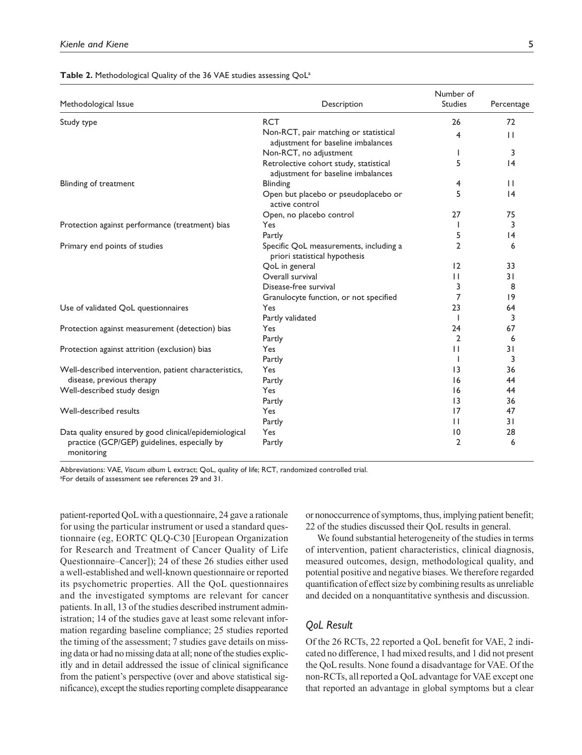| Methodological Issue                                       | Description                                                                  | Number of<br><b>Studies</b> | Percentage   |
|------------------------------------------------------------|------------------------------------------------------------------------------|-----------------------------|--------------|
| Study type                                                 | <b>RCT</b>                                                                   | 26                          | 72           |
|                                                            | Non-RCT, pair matching or statistical<br>adjustment for baseline imbalances  | 4                           | П            |
|                                                            | Non-RCT, no adjustment                                                       |                             | 3            |
|                                                            | Retrolective cohort study, statistical<br>adjustment for baseline imbalances | 5                           | 4            |
| Blinding of treatment                                      | <b>Blinding</b>                                                              | 4                           | $\mathbf{H}$ |
|                                                            | Open but placebo or pseudoplacebo or<br>active control                       | 5                           | 4            |
|                                                            | Open, no placebo control                                                     | 27                          | 75           |
| Protection against performance (treatment) bias            | Yes                                                                          |                             | 3            |
|                                                            | Partly                                                                       | 5                           | 4            |
| Primary end points of studies                              | Specific QoL measurements, including a<br>priori statistical hypothesis      | $\mathfrak{p}$              | 6            |
|                                                            | QoL in general                                                               | 12                          | 33           |
|                                                            | Overall survival                                                             | $\perp$                     | 31           |
|                                                            | Disease-free survival                                                        | 3                           | 8            |
|                                                            | Granulocyte function, or not specified                                       | 7                           | 9            |
| Use of validated QoL questionnaires                        | Yes                                                                          | 23                          | 64           |
|                                                            | Partly validated                                                             |                             | 3            |
| Protection against measurement (detection) bias            | Yes                                                                          | 24                          | 67           |
|                                                            | Partly                                                                       | $\mathbf{2}$                | 6            |
| Protection against attrition (exclusion) bias              | Yes                                                                          | $\perp$                     | 31           |
|                                                            | Partly                                                                       |                             | 3            |
| Well-described intervention, patient characteristics,      | <b>Yes</b>                                                                   | 13                          | 36           |
| disease, previous therapy                                  | Partly                                                                       | 16                          | 44           |
| Well-described study design                                | <b>Yes</b>                                                                   | 16                          | 44           |
|                                                            | Partly                                                                       | 13                          | 36           |
| Well-described results                                     | Yes                                                                          | 17                          | 47           |
|                                                            | Partly                                                                       | $\perp$                     | 31           |
| Data quality ensured by good clinical/epidemiological      | Yes                                                                          | $\overline{10}$             | 28           |
| practice (GCP/GEP) guidelines, especially by<br>monitoring | Partly                                                                       | $\overline{2}$              | 6            |

Table 2. Methodological Quality of the 36 VAE studies assessing QoL<sup>a</sup>

Abbreviations: VAE, *Viscum album* L extract; QoL, quality of life; RCT, randomized controlled trial. <sup>a</sup>For details of assessment see references 29 and 31.

patient-reported QoL with a questionnaire, 24 gave a rationale for using the particular instrument or used a standard questionnaire (eg, EORTC QLQ-C30 [European Organization for Research and Treatment of Cancer Quality of Life Questionnaire–Cancer]); 24 of these 26 studies either used a well-established and well-known questionnaire or reported its psychometric properties. All the QoL questionnaires and the investigated symptoms are relevant for cancer patients. In all, 13 of the studies described instrument administration; 14 of the studies gave at least some relevant information regarding baseline compliance; 25 studies reported the timing of the assessment; 7 studies gave details on missing data or had no missing data at all; none of the studies explicitly and in detail addressed the issue of clinical significance from the patient's perspective (over and above statistical significance), except the studies reporting complete disappearance or nonoccurrence of symptoms, thus, implying patient benefit; 22 of the studies discussed their QoL results in general.

We found substantial heterogeneity of the studies in terms of intervention, patient characteristics, clinical diagnosis, measured outcomes, design, methodological quality, and potential positive and negative biases. We therefore regarded quantification of effect size by combining results as unreliable and decided on a nonquantitative synthesis and discussion.

#### *QoL Result*

Of the 26 RCTs, 22 reported a QoL benefit for VAE, 2 indicated no difference, 1 had mixed results, and 1 did not present the QoL results. None found a disadvantage for VAE. Of the non-RCTs, all reported a QoL advantage for VAE except one that reported an advantage in global symptoms but a clear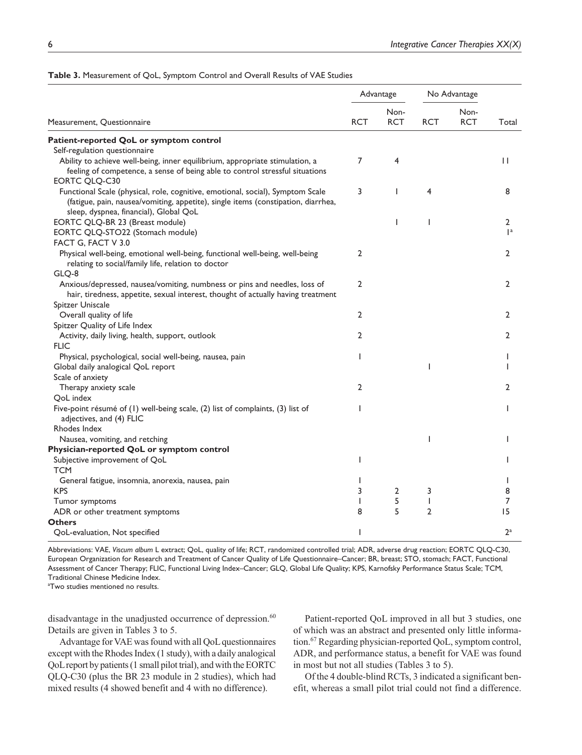|                                                                                                                                                                                                               | Advantage      |                    | No Advantage   |                    |                           |
|---------------------------------------------------------------------------------------------------------------------------------------------------------------------------------------------------------------|----------------|--------------------|----------------|--------------------|---------------------------|
| Measurement, Questionnaire                                                                                                                                                                                    | <b>RCT</b>     | Non-<br><b>RCT</b> | <b>RCT</b>     | Non-<br><b>RCT</b> | Total                     |
| Patient-reported QoL or symptom control                                                                                                                                                                       |                |                    |                |                    |                           |
| Self-regulation questionnaire                                                                                                                                                                                 |                |                    |                |                    |                           |
| Ability to achieve well-being, inner equilibrium, appropriate stimulation, a<br>feeling of competence, a sense of being able to control stressful situations<br>EORTC QLQ-C30                                 | $\overline{7}$ | 4                  |                |                    | $\mathbf{H}$              |
| Functional Scale (physical, role, cognitive, emotional, social), Symptom Scale<br>(fatigue, pain, nausea/vomiting, appetite), single items (constipation, diarrhea,<br>sleep, dyspnea, financial), Global QoL | 3              |                    | 4              |                    | 8                         |
| EORTC QLQ-BR 23 (Breast module)                                                                                                                                                                               |                | I                  | $\mathbf{I}$   |                    | 2                         |
| EORTC QLQ-STO22 (Stomach module)                                                                                                                                                                              |                |                    |                |                    | $\mathsf{I}^{\mathsf{a}}$ |
| FACT G, FACT V 3.0                                                                                                                                                                                            |                |                    |                |                    |                           |
| Physical well-being, emotional well-being, functional well-being, well-being<br>relating to social/family life, relation to doctor<br>GLQ-8                                                                   | 2              |                    |                |                    | $\overline{2}$            |
| Anxious/depressed, nausea/vomiting, numbness or pins and needles, loss of<br>hair, tiredness, appetite, sexual interest, thought of actually having treatment                                                 | $\overline{2}$ |                    |                |                    | $\overline{2}$            |
| Spitzer Uniscale                                                                                                                                                                                              |                |                    |                |                    |                           |
| Overall quality of life                                                                                                                                                                                       | $\overline{2}$ |                    |                |                    | $\overline{2}$            |
| Spitzer Quality of Life Index                                                                                                                                                                                 |                |                    |                |                    |                           |
| Activity, daily living, health, support, outlook<br><b>FLIC</b>                                                                                                                                               | $\overline{2}$ |                    |                |                    | $\overline{2}$            |
| Physical, psychological, social well-being, nausea, pain                                                                                                                                                      | $\mathbf{I}$   |                    |                |                    | ı                         |
| Global daily analogical QoL report                                                                                                                                                                            |                |                    | $\mathbf{I}$   |                    |                           |
| Scale of anxiety                                                                                                                                                                                              |                |                    |                |                    |                           |
| Therapy anxiety scale                                                                                                                                                                                         | $\overline{2}$ |                    |                |                    | 2                         |
| QoL index                                                                                                                                                                                                     |                |                    |                |                    |                           |
| Five-point résumé of (1) well-being scale, (2) list of complaints, (3) list of<br>adjectives, and (4) FLIC                                                                                                    | 1              |                    |                |                    | ı                         |
| Rhodes Index                                                                                                                                                                                                  |                |                    |                |                    |                           |
| Nausea, vomiting, and retching                                                                                                                                                                                |                |                    | 1              |                    |                           |
| Physician-reported QoL or symptom control                                                                                                                                                                     |                |                    |                |                    |                           |
| Subjective improvement of QoL<br><b>TCM</b>                                                                                                                                                                   | $\mathbf{I}$   |                    |                |                    |                           |
| General fatigue, insomnia, anorexia, nausea, pain                                                                                                                                                             | 1              |                    |                |                    |                           |
| <b>KPS</b>                                                                                                                                                                                                    | 3              | 2                  | 3              |                    | 8                         |
| Tumor symptoms                                                                                                                                                                                                | $\mathsf{I}$   | 5                  | $\mathbf{I}$   |                    | 7                         |
| ADR or other treatment symptoms                                                                                                                                                                               | 8              | 5                  | $\overline{2}$ |                    | 15                        |
| Others                                                                                                                                                                                                        |                |                    |                |                    |                           |
| QoL-evaluation, Not specified                                                                                                                                                                                 | $\mathbf{I}$   |                    |                |                    | $2^a$                     |

Abbreviations: VAE, *Viscum album* L extract; QoL, quality of life; RCT, randomized controlled trial; ADR, adverse drug reaction; EORTC QLQ-C30, European Organization for Research and Treatment of Cancer Quality of Life Questionnaire–Cancer; BR, breast; STO, stomach; FACT, Functional Assessment of Cancer Therapy; FLIC, Functional Living Index–Cancer; GLQ, Global Life Quality; KPS, Karnofsky Performance Status Scale; TCM, Traditional Chinese Medicine Index.

<sup>a</sup>Two studies mentioned no results.

disadvantage in the unadjusted occurrence of depression.<sup>60</sup> Details are given in Tables 3 to 5.

Advantage for VAE was found with all QoL questionnaires except with the Rhodes Index (1 study), with a daily analogical QoL report by patients (1 small pilot trial), and with the EORTC QLQ-C30 (plus the BR 23 module in 2 studies), which had mixed results (4 showed benefit and 4 with no difference).

Patient-reported QoL improved in all but 3 studies, one of which was an abstract and presented only little information.67 Regarding physician-reported QoL, symptom control, ADR, and performance status, a benefit for VAE was found in most but not all studies (Tables 3 to 5).

Of the 4 double-blind RCTs, 3 indicated a significant benefit, whereas a small pilot trial could not find a difference.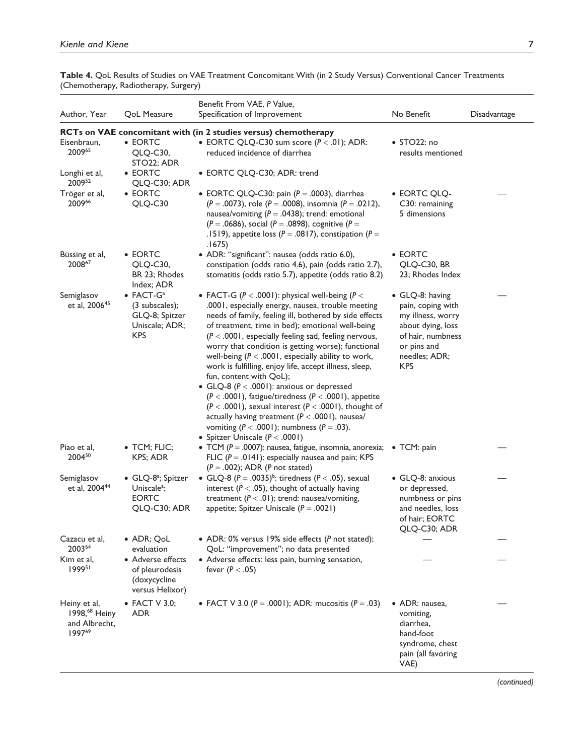| Author, Year                                                              | <b>QoL Measure</b>                                                                                  | Benefit From VAE, P Value,<br>Specification of Improvement                                                                                                                                                                                                                                                                                                                                                                                                                                                                                                                                                                                                                                                                                                                                                          | No Benefit                                                                                                                                        | Disadvantage |
|---------------------------------------------------------------------------|-----------------------------------------------------------------------------------------------------|---------------------------------------------------------------------------------------------------------------------------------------------------------------------------------------------------------------------------------------------------------------------------------------------------------------------------------------------------------------------------------------------------------------------------------------------------------------------------------------------------------------------------------------------------------------------------------------------------------------------------------------------------------------------------------------------------------------------------------------------------------------------------------------------------------------------|---------------------------------------------------------------------------------------------------------------------------------------------------|--------------|
| Eisenbraun,<br>200965                                                     | • EORTC<br>QLQ-C30,<br>STO22; ADR                                                                   | RCTs on VAE concomitant with (in 2 studies versus) chemotherapy<br>• EORTC QLQ-C30 sum score $(P < .01)$ ; ADR:<br>reduced incidence of diarrhea                                                                                                                                                                                                                                                                                                                                                                                                                                                                                                                                                                                                                                                                    | $\bullet$ STO22: no<br>results mentioned                                                                                                          |              |
| Longhi et al,<br>200952<br>Tröger et al,<br>200966                        | $\bullet$ EORTC<br>QLQ-C30; ADR<br>$\bullet$ EORTC<br>QLQ-C30                                       | • EORTC QLQ-C30; ADR: trend<br>• EORTC QLQ-C30: pain $(P = .0003)$ , diarrhea<br>$(P = .0073)$ , role $(P = .0008)$ , insomnia $(P = .0212)$ ,<br>nausea/vomiting ( $P = .0438$ ); trend: emotional                                                                                                                                                                                                                                                                                                                                                                                                                                                                                                                                                                                                                 | • EORTC QLQ-<br>C30: remaining<br>5 dimensions                                                                                                    |              |
| Büssing et al,<br>200867                                                  | $\bullet$ EORTC<br>QLQ-C30,                                                                         | $(P = .0686)$ , social $(P = .0898)$ , cognitive $(P =$<br>.1519), appetite loss ( $P = .0817$ ), constipation ( $P =$<br>.1675)<br>· ADR: "significant": nausea (odds ratio 6.0),<br>constipation (odds ratio 4.6), pain (odds ratio 2.7),                                                                                                                                                                                                                                                                                                                                                                                                                                                                                                                                                                         | $\bullet$ EORTC<br>QLQ-C30, BR                                                                                                                    |              |
|                                                                           | BR 23; Rhodes<br>Index; ADR                                                                         | stomatitis (odds ratio 5.7), appetite (odds ratio 8.2)                                                                                                                                                                                                                                                                                                                                                                                                                                                                                                                                                                                                                                                                                                                                                              | 23; Rhodes Index                                                                                                                                  |              |
| Semiglasov<br>et al, 200645                                               | $\bullet$ FACT-G <sup>a</sup><br>$(3$ subscales);<br>GLQ-8; Spitzer<br>Uniscale; ADR;<br><b>KPS</b> | • FACT-G ( $P < .0001$ ): physical well-being ( $P <$<br>.0001, especially energy, nausea, trouble meeting<br>needs of family, feeling ill, bothered by side effects<br>of treatment, time in bed); emotional well-being<br>$(P < .0001$ , especially feeling sad, feeling nervous,<br>worry that condition is getting worse); functional<br>well-being ( $P < .0001$ , especially ability to work,<br>work is fulfilling, enjoy life, accept illness, sleep,<br>fun, content with QoL);<br>• GLQ-8 ( $P < .0001$ ): anxious or depressed<br>$(P < .0001)$ , fatigue/tiredness $(P < .0001)$ , appetite<br>$(P < .0001)$ , sexual interest $(P < .0001)$ , thought of<br>actually having treatment $(P < .0001)$ , nausea/<br>vomiting ( $P < .0001$ ); numbness ( $P = .03$ ).<br>• Spitzer Uniscale $(P < .0001)$ | • GLQ-8: having<br>pain, coping with<br>my illness, worry<br>about dying, loss<br>of hair, numbness<br>or pins and<br>needles; ADR;<br><b>KPS</b> |              |
| Piao et al,<br>200450                                                     | · TCM; FLIC;<br><b>KPS; ADR</b>                                                                     | • TCM ( $P = .0007$ ): nausea, fatigue, insomnia, anorexia; • TCM: pain<br>FLIC ( $P = .0141$ ): especially nausea and pain; KPS<br>$(P = .002)$ ; ADR (P not stated)                                                                                                                                                                                                                                                                                                                                                                                                                                                                                                                                                                                                                                               |                                                                                                                                                   |              |
| Semiglasov<br>et al, 2004 <sup>44</sup>                                   | • GLQ-8 <sup>a</sup> ; Spitzer<br>Uniscale <sup>a</sup> ;<br><b>EORTC</b><br>QLQ-C30; ADR           | • GLQ-8 $(P = .0035)^{b}$ : tiredness $(P < .05)$ , sexual<br>interest ( $P < .05$ ), thought of actually having<br>treatment ( $P < .01$ ); trend: nausea/vomiting,<br>appetite; Spitzer Uniscale ( $P = .0021$ )                                                                                                                                                                                                                                                                                                                                                                                                                                                                                                                                                                                                  | • GLO-8: anxious<br>or depressed,<br>numbness or pins<br>and needles, loss<br>of hair; EORTC<br>QLQ-C30; ADR                                      |              |
| Cazacu et al,<br>200364<br>Kim et al,<br>199951                           | • ADR; QoL<br>evaluation<br>• Adverse effects<br>of pleurodesis<br>(doxycycline<br>versus Helixor)  | • ADR: 0% versus 19% side effects (P not stated);<br>QoL: "improvement"; no data presented<br>• Adverse effects: less pain, burning sensation,<br>fever $(P < .05)$                                                                                                                                                                                                                                                                                                                                                                                                                                                                                                                                                                                                                                                 |                                                                                                                                                   |              |
| Heiny et al,<br>1998, <sup>68</sup> Heiny<br>and Albrecht,<br>$1997^{69}$ | • FACT V 3.0;<br><b>ADR</b>                                                                         | • FACT V 3.0 ( $P = .0001$ ); ADR: mucositis ( $P = .03$ )                                                                                                                                                                                                                                                                                                                                                                                                                                                                                                                                                                                                                                                                                                                                                          | • ADR: nausea,<br>vomiting,<br>diarrhea.<br>hand-foot<br>syndrome, chest<br>pain (all favoring<br>VAE)                                            |              |

**Table 4.** QoL Results of Studies on VAE Treatment Concomitant With (in 2 Study Versus) Conventional Cancer Treatments (Chemotherapy, Radiotherapy, Surgery)

*(continued)*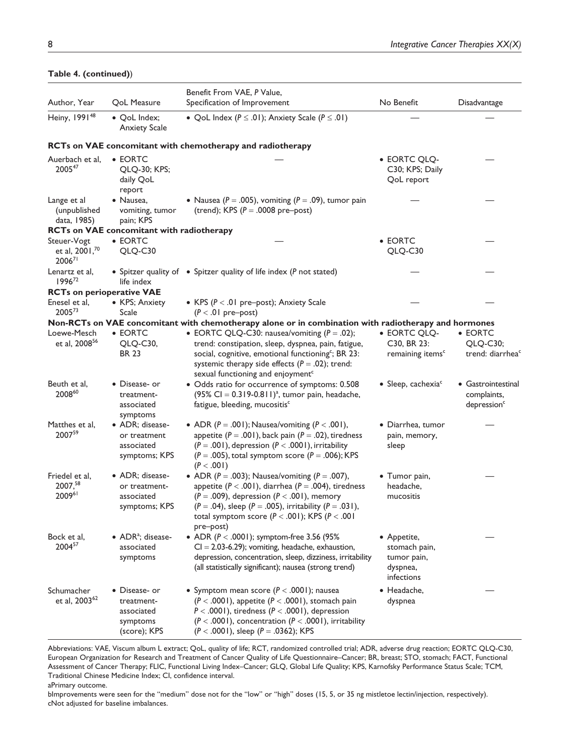#### Author, Year QoL Measure Benefit From VAE, *P* Value, Specification of Improvement **No Benefit** Disadvantage Heiny, 1991<sup>48</sup> • QoL Index; Anxiety Scale • QoL Index (*P* ≤ .01); Anxiety Scale (*P* ≤ .01) — — **RCTs on VAE concomitant with chemotherapy and radiotherapy** Auerbach et al, 200547 • EORTC QLQ-30; KPS; daily QoL report — • EORTC QLQ-C30; KPS; Daily QoL report — Lange et al (unpublished data, 1985) • Nausea, vomiting, tumor pain; KPS • Nausea (*P* = .005), vomiting (*P* = .09), tumor pain (trend); KPS (*P* = .0008 pre–post) — — **RCTs on VAE concomitant with radiotherapy** Steuer-Vogt et al, 2001,70 200671 • EORTC QLQ-C30 — • EORTC QLQ-C30 — Lenartz et al, 199672 • Spitzer quality of • Spitzer quality of life index (*P* not stated) — — — — — — — life index **RCTs on perioperative VAE** Enesel et al, 200573 • KPS; Anxiety Scale • KPS (*P* < .01 pre–post); Anxiety Scale (*P* < .01 pre–post) — — **Non-RCTs on VAE concomitant with chemotherapy alone or in combination with radiotherapy and hormones** Loewe-Mesch et al, 200856 • EORTC QLQ-C30, BR 23 • EORTC QLQ-C30: nausea/vomiting (*P* = .02); trend: constipation, sleep, dyspnea, pain, fatigue, social, cognitive, emotional functioning<sup>c</sup>; BR 23: systemic therapy side effects  $(P = .02)$ ; trend: sexual functioning and enjoyment<sup>c</sup> • EORTC QLQ-C30, BR 23: remaining items<sup>c</sup> • EORTC QLQ-C30; trend: diarrhea<sup>c</sup> Beuth et al, 200860 • Disease- or treatmentassociated symptoms • Odds ratio for occurrence of symptoms: 0.508  $(95\% \text{ Cl} = 0.319 - 0.811)^{a}$ , tumor pain, headache, fatigue, bleeding, mucositis<sup>c</sup> • Sleep, cachexia<sup>c</sup> • Gastrointestinal complaints, depression<sup>c</sup> Matthes et al, 200759 • ADR; diseaseor treatment associated symptoms; KPS • ADR (*P* = .001); Nausea/vomiting (*P* < .001), appetite  $(P = .001)$ , back pain  $(P = .02)$ , tiredness (*P* = .001), depression (*P* < .0001), irritability (*P* = .005), total symptom score (*P* = .006); KPS (*P* < .001) • Diarrhea, tumor pain, memory, sleep — Friedel et al, 2007,58 200961 • ADR; diseaseor treatmentassociated symptoms; KPS • ADR (*P* = .003); Nausea/vomiting (*P* = .007), appetite (*P* < .001), diarrhea (*P* = .004), tiredness (*P* = .009), depression (*P* < .001), memory (*P* = .04), sleep (*P* = .005), irritability (*P* = .031), total symptom score (*P* < .001); KPS (*P* < .001 pre–post) • Tumor pain, headache, mucositis — Bock et al, 200457 • ADR<sup>a</sup>; diseaseassociated symptoms • ADR (*P* < .0001); symptom-free 3.56 (95%  $CI = 2.03-6.29$ ); vomiting, headache, exhaustion, depression, concentration, sleep, dizziness, irritability (all statistically significant); nausea (strong trend) • Appetite, stomach pain, tumor pain, dyspnea, infections — Schumacher et al, 2003<sup>62</sup> • Disease- or treatmentassociated symptoms (score); KPS • Symptom mean score (*P* < .0001); nausea (*P* < .0001), appetite (*P* < .0001), stomach pain *P* < .0001), tiredness (*P* < .0001), depression (*P* < .0001), concentration (*P* < .0001), irritability (*P* < .0001), sleep (*P* = .0362); KPS • Headache, dyspnea —

# **Table 4. (continued)**)

Abbreviations: VAE, Viscum album L extract; QoL, quality of life; RCT, randomized controlled trial; ADR, adverse drug reaction; EORTC QLQ-C30, European Organization for Research and Treatment of Cancer Quality of Life Questionnaire–Cancer; BR, breast; STO, stomach; FACT, Functional Assessment of Cancer Therapy; FLIC, Functional Living Index–Cancer; GLQ, Global Life Quality; KPS, Karnofsky Performance Status Scale; TCM, Traditional Chinese Medicine Index; CI, confidence interval.

aPrimary outcome.

bImprovements were seen for the "medium" dose not for the "low" or "high" doses (15, 5, or 35 ng mistletoe lectin/injection, respectively). cNot adjusted for baseline imbalances.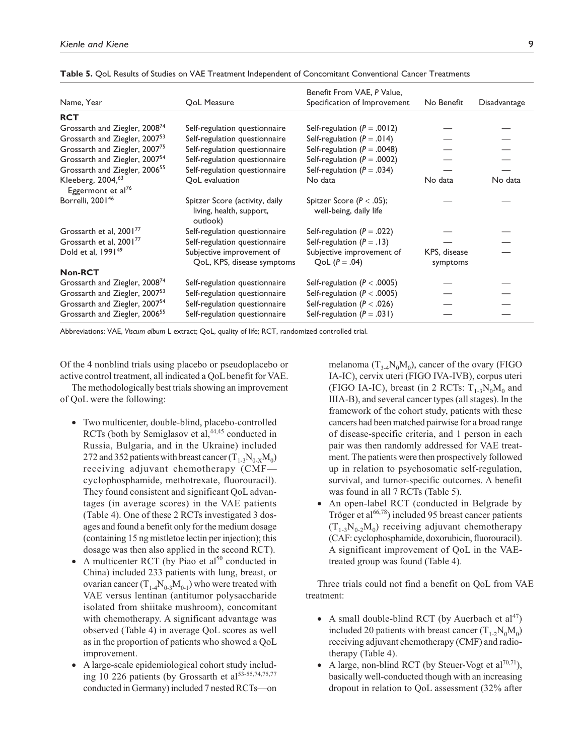|                                                    |                                                                        | Benefit From VAE, P Value,                             |                          |              |
|----------------------------------------------------|------------------------------------------------------------------------|--------------------------------------------------------|--------------------------|--------------|
| Name, Year                                         | <b>OoL</b> Measure                                                     | Specification of Improvement                           | No Benefit               | Disadvantage |
| <b>RCT</b>                                         |                                                                        |                                                        |                          |              |
| Grossarth and Ziegler, 2008 <sup>74</sup>          | Self-regulation questionnaire                                          | Self-regulation ( $P = .0012$ )                        |                          |              |
| Grossarth and Ziegler, 200753                      | Self-regulation questionnaire                                          | Self-regulation ( $P = .014$ )                         |                          |              |
| Grossarth and Ziegler, 2007 <sup>75</sup>          | Self-regulation questionnaire                                          | Self-regulation ( $P = .0048$ )                        |                          |              |
| Grossarth and Ziegler, 2007 <sup>54</sup>          | Self-regulation questionnaire                                          | Self-regulation ( $P = .0002$ )                        |                          |              |
| Grossarth and Ziegler, 2006 <sup>55</sup>          | Self-regulation questionnaire                                          | Self-regulation ( $P = .034$ )                         |                          |              |
| Kleeberg, 2004,63<br>Eggermont et al <sup>76</sup> | OoL evaluation                                                         | No data                                                | No data                  | No data      |
| Borrelli, 200146                                   | Spitzer Score (activity, daily<br>living, health, support,<br>outlook) | Spitzer Score ( $P < .05$ );<br>well-being, daily life |                          |              |
| Grossarth et al, 2001 <sup>77</sup>                | Self-regulation questionnaire                                          | Self-regulation ( $P = .022$ )                         |                          |              |
| Grossarth et al, 2001 <sup>77</sup>                | Self-regulation questionnaire                                          | Self-regulation ( $P = .13$ )                          |                          |              |
| Dold et al, 1991 <sup>49</sup>                     | Subjective improvement of<br>QoL, KPS, disease symptoms                | Subjective improvement of<br>$QoL (P = .04)$           | KPS, disease<br>symptoms |              |
| <b>Non-RCT</b>                                     |                                                                        |                                                        |                          |              |
| Grossarth and Ziegler, 2008 <sup>74</sup>          | Self-regulation questionnaire                                          | Self-regulation ( $P < .0005$ )                        |                          |              |
| Grossarth and Ziegler, 2007 <sup>53</sup>          | Self-regulation questionnaire                                          | Self-regulation ( $P < .0005$ )                        |                          |              |
| Grossarth and Ziegler, 2007 <sup>54</sup>          | Self-regulation questionnaire                                          | Self-regulation ( $P < .026$ )                         |                          |              |
| Grossarth and Ziegler, 2006 <sup>55</sup>          | Self-regulation questionnaire                                          | Self-regulation ( $P = .031$ )                         |                          |              |

**Table 5.** QoL Results of Studies on VAE Treatment Independent of Concomitant Conventional Cancer Treatments

Abbreviations: VAE, *Viscum album* L extract; QoL, quality of life; RCT, randomized controlled trial.

Of the 4 nonblind trials using placebo or pseudoplacebo or active control treatment, all indicated a QoL benefit for VAE.

The methodologically best trials showing an improvement of QoL were the following:

- Two multicenter, double-blind, placebo-controlled RCTs (both by Semiglasov et al,<sup>44,45</sup> conducted in Russia, Bulgaria, and in the Ukraine) included 272 and 352 patients with breast cancer  $(T_{1,3}N_{0,X}M_0)$ receiving adjuvant chemotherapy (CMF cyclophosphamide, methotrexate, fluorouracil). They found consistent and significant QoL advantages (in average scores) in the VAE patients (Table 4). One of these 2 RCTs investigated 3 dosages and found a benefit only for the medium dosage (containing 15 ng mistletoe lectin per injection); this dosage was then also applied in the second RCT).
- A multicenter RCT (by Piao et al<sup>50</sup> conducted in China) included 233 patients with lung, breast, or ovarian cancer  $(T_{1.4}N_{0.3}M_{0.1})$  who were treated with VAE versus lentinan (antitumor polysaccharide isolated from shiitake mushroom), concomitant with chemotherapy. A significant advantage was observed (Table 4) in average QoL scores as well as in the proportion of patients who showed a QoL improvement.
- A large-scale epidemiological cohort study including 10 226 patients (by Grossarth et al<sup>53-55,74,75,77</sup> conducted in Germany) included 7 nested RCTs—on

melanoma  $(T_{3.4}N_0M_0)$ , cancer of the ovary (FIGO IA-IC), cervix uteri (FIGO IVA-IVB), corpus uteri (FIGO IA-IC), breast (in 2 RCTs:  $T_{1-3}N_0M_0$  and IIIA-B), and several cancer types (all stages). In the framework of the cohort study, patients with these cancers had been matched pairwise for a broad range of disease-specific criteria, and 1 person in each pair was then randomly addressed for VAE treatment. The patients were then prospectively followed up in relation to psychosomatic self-regulation, survival, and tumor-specific outcomes. A benefit was found in all 7 RCTs (Table 5).

• An open-label RCT (conducted in Belgrade by Tröger et al<sup>66,78</sup>) included 95 breast cancer patients  $(T_{1.3}N_{0.2}M_0)$  receiving adjuvant chemotherapy (CAF: cyclophosphamide, doxorubicin, fluorouracil). A significant improvement of QoL in the VAEtreated group was found (Table 4).

Three trials could not find a benefit on QoL from VAE treatment:

- A small double-blind RCT (by Auerbach et  $al^{47}$ ) included 20 patients with breast cancer  $(T_{1.2}N_0M_0)$ receiving adjuvant chemotherapy (CMF) and radiotherapy (Table 4).
- A large, non-blind RCT (by Steuer-Vogt et al<sup>70,71</sup>), basically well-conducted though with an increasing dropout in relation to QoL assessment (32% after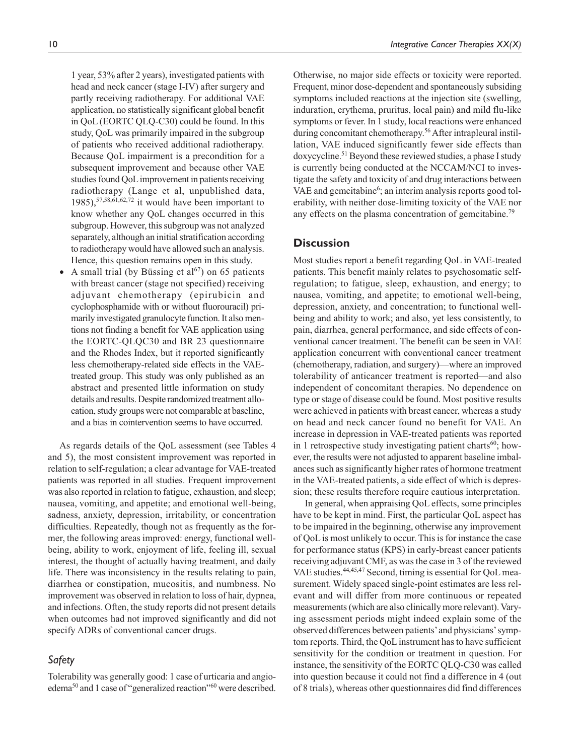1 year, 53% after 2 years), investigated patients with head and neck cancer (stage I-IV) after surgery and partly receiving radiotherapy. For additional VAE application, no statistically significant global benefit in QoL (EORTC QLQ-C30) could be found. In this study, QoL was primarily impaired in the subgroup of patients who received additional radiotherapy. Because QoL impairment is a precondition for a subsequent improvement and because other VAE studies found QoL improvement in patients receiving radiotherapy (Lange et al, unpublished data, 1985),<sup>57,58,61,62,72</sup> it would have been important to know whether any QoL changes occurred in this subgroup. However, this subgroup was not analyzed separately, although an initial stratification according to radiotherapy would have allowed such an analysis. Hence, this question remains open in this study.

A small trial (by Büssing et al<sup>67</sup>) on 65 patients with breast cancer (stage not specified) receiving adjuvant chemotherapy (epirubicin and cyclophosphamide with or without fluorouracil) primarily investigated granulocyte function. It also mentions not finding a benefit for VAE application using the EORTC-QLQC30 and BR 23 questionnaire and the Rhodes Index, but it reported significantly less chemotherapy-related side effects in the VAEtreated group. This study was only published as an abstract and presented little information on study details and results. Despite randomized treatment allocation, study groups were not comparable at baseline, and a bias in cointervention seems to have occurred.

As regards details of the QoL assessment (see Tables 4 and 5), the most consistent improvement was reported in relation to self-regulation; a clear advantage for VAE-treated patients was reported in all studies. Frequent improvement was also reported in relation to fatigue, exhaustion, and sleep; nausea, vomiting, and appetite; and emotional well-being, sadness, anxiety, depression, irritability, or concentration difficulties. Repeatedly, though not as frequently as the former, the following areas improved: energy, functional wellbeing, ability to work, enjoyment of life, feeling ill, sexual interest, the thought of actually having treatment, and daily life. There was inconsistency in the results relating to pain, diarrhea or constipation, mucositis, and numbness. No improvement was observed in relation to loss of hair, dypnea, and infections. Often, the study reports did not present details when outcomes had not improved significantly and did not specify ADRs of conventional cancer drugs.

# *Safety*

Tolerability was generally good: 1 case of urticaria and angioedema<sup>50</sup> and 1 case of "generalized reaction"<sup>60</sup> were described. Otherwise, no major side effects or toxicity were reported. Frequent, minor dose-dependent and spontaneously subsiding symptoms included reactions at the injection site (swelling, induration, erythema, pruritus, local pain) and mild flu-like symptoms or fever. In 1 study, local reactions were enhanced during concomitant chemotherapy.<sup>56</sup> After intrapleural instillation, VAE induced significantly fewer side effects than doxycycline.51 Beyond these reviewed studies, a phase I study is currently being conducted at the NCCAM/NCI to investigate the safety and toxicity of and drug interactions between VAE and gemcitabine<sup>6</sup>; an interim analysis reports good tolerability, with neither dose-limiting toxicity of the VAE nor any effects on the plasma concentration of gemcitabine.79

#### **Discussion**

Most studies report a benefit regarding QoL in VAE-treated patients. This benefit mainly relates to psychosomatic selfregulation; to fatigue, sleep, exhaustion, and energy; to nausea, vomiting, and appetite; to emotional well-being, depression, anxiety, and concentration; to functional wellbeing and ability to work; and also, yet less consistently, to pain, diarrhea, general performance, and side effects of conventional cancer treatment. The benefit can be seen in VAE application concurrent with conventional cancer treatment (chemotherapy, radiation, and surgery)—where an improved tolerability of anticancer treatment is reported—and also independent of concomitant therapies. No dependence on type or stage of disease could be found. Most positive results were achieved in patients with breast cancer, whereas a study on head and neck cancer found no benefit for VAE. An increase in depression in VAE-treated patients was reported in 1 retrospective study investigating patient charts $60$ ; however, the results were not adjusted to apparent baseline imbalances such as significantly higher rates of hormone treatment in the VAE-treated patients, a side effect of which is depression; these results therefore require cautious interpretation.

In general, when appraising QoL effects, some principles have to be kept in mind. First, the particular QoL aspect has to be impaired in the beginning, otherwise any improvement of QoL is most unlikely to occur. This is for instance the case for performance status (KPS) in early-breast cancer patients receiving adjuvant CMF, as was the case in 3 of the reviewed VAE studies.44,45,47 Second, timing is essential for QoL measurement. Widely spaced single-point estimates are less relevant and will differ from more continuous or repeated measurements (which are also clinically more relevant). Varying assessment periods might indeed explain some of the observed differences between patients' and physicians' symptom reports. Third, the QoL instrument has to have sufficient sensitivity for the condition or treatment in question. For instance, the sensitivity of the EORTC QLQ-C30 was called into question because it could not find a difference in 4 (out of 8 trials), whereas other questionnaires did find differences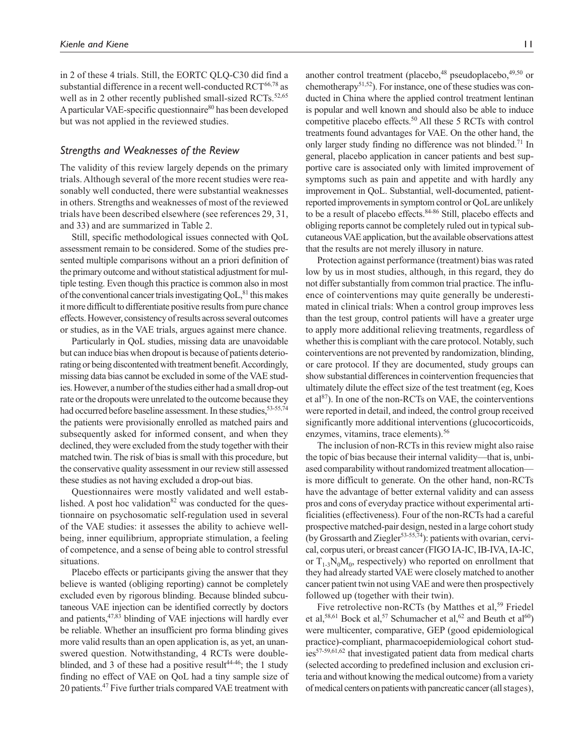in 2 of these 4 trials. Still, the EORTC QLQ-C30 did find a substantial difference in a recent well-conducted RCT<sup>66,78</sup> as well as in 2 other recently published small-sized RCTs. $52,65$ A particular VAE-specific questionnaire<sup>80</sup> has been developed but was not applied in the reviewed studies.

#### *Strengths and Weaknesses of the Review*

The validity of this review largely depends on the primary trials. Although several of the more recent studies were reasonably well conducted, there were substantial weaknesses in others. Strengths and weaknesses of most of the reviewed trials have been described elsewhere (see references 29, 31, and 33) and are summarized in Table 2.

Still, specific methodological issues connected with QoL assessment remain to be considered. Some of the studies presented multiple comparisons without an a priori definition of the primary outcome and without statistical adjustment for multiple testing. Even though this practice is common also in most of the conventional cancer trials investigating QoL,<sup>81</sup> this makes it more difficult to differentiate positive results from pure chance effects. However, consistency of results across several outcomes or studies, as in the VAE trials, argues against mere chance.

Particularly in QoL studies, missing data are unavoidable but can induce bias when dropout is because of patients deteriorating or being discontented with treatment benefit. Accordingly, missing data bias cannot be excluded in some of the VAE studies. However, a number of the studies either had a small drop-out rate or the dropouts were unrelated to the outcome because they had occurred before baseline assessment. In these studies,  $53-55,74$ the patients were provisionally enrolled as matched pairs and subsequently asked for informed consent, and when they declined, they were excluded from the study together with their matched twin. The risk of bias is small with this procedure, but the conservative quality assessment in our review still assessed these studies as not having excluded a drop-out bias.

Questionnaires were mostly validated and well established. A post hoc validation $82$  was conducted for the questionnaire on psychosomatic self-regulation used in several of the VAE studies: it assesses the ability to achieve wellbeing, inner equilibrium, appropriate stimulation, a feeling of competence, and a sense of being able to control stressful situations.

Placebo effects or participants giving the answer that they believe is wanted (obliging reporting) cannot be completely excluded even by rigorous blinding. Because blinded subcutaneous VAE injection can be identified correctly by doctors and patients, <sup>47,83</sup> blinding of VAE injections will hardly ever be reliable. Whether an insufficient pro forma blinding gives more valid results than an open application is, as yet, an unanswered question. Notwithstanding, 4 RCTs were doubleblinded, and 3 of these had a positive result $44-46$ ; the 1 study finding no effect of VAE on QoL had a tiny sample size of 20 patients.47 Five further trials compared VAE treatment with

another control treatment (placebo,  $48$  pseudoplacebo,  $49,50$  or chemotherapy $51,52$ ). For instance, one of these studies was conducted in China where the applied control treatment lentinan is popular and well known and should also be able to induce competitive placebo effects.<sup>50</sup> All these 5 RCTs with control treatments found advantages for VAE. On the other hand, the only larger study finding no difference was not blinded.<sup>71</sup> In general, placebo application in cancer patients and best supportive care is associated only with limited improvement of symptoms such as pain and appetite and with hardly any improvement in QoL. Substantial, well-documented, patientreported improvements in symptom control or QoL are unlikely to be a result of placebo effects.<sup>84-86</sup> Still, placebo effects and obliging reports cannot be completely ruled out in typical subcutaneous VAE application, but the available observations attest that the results are not merely illusory in nature.

Protection against performance (treatment) bias was rated low by us in most studies, although, in this regard, they do not differ substantially from common trial practice. The influence of cointerventions may quite generally be underestimated in clinical trials: When a control group improves less than the test group, control patients will have a greater urge to apply more additional relieving treatments, regardless of whether this is compliant with the care protocol. Notably, such cointerventions are not prevented by randomization, blinding, or care protocol. If they are documented, study groups can show substantial differences in cointervention frequencies that ultimately dilute the effect size of the test treatment (eg, Koes et  $a^{87}$ ). In one of the non-RCTs on VAE, the cointerventions were reported in detail, and indeed, the control group received significantly more additional interventions (glucocorticoids, enzymes, vitamins, trace elements).<sup>56</sup>

The inclusion of non-RCTs in this review might also raise the topic of bias because their internal validity—that is, unbiased comparability without randomized treatment allocation is more difficult to generate. On the other hand, non-RCTs have the advantage of better external validity and can assess pros and cons of everyday practice without experimental artificialities (effectiveness). Four of the non-RCTs had a careful prospective matched-pair design, nested in a large cohort study (by Grossarth and Ziegler<sup>53-55,74</sup>): patients with ovarian, cervical, corpus uteri, or breast cancer (FIGO IA-IC, IB-IVA, IA-IC, or  $T_{1,3}N_0M_0$ , respectively) who reported on enrollment that they had already started VAE were closely matched to another cancer patient twin not using VAE and were then prospectively followed up (together with their twin).

Five retrolective non-RCTs (by Matthes et al,<sup>59</sup> Friedel et al,<sup>58,61</sup> Bock et al,<sup>57</sup> Schumacher et al,<sup>62</sup> and Beuth et al<sup>60</sup>) were multicenter, comparative, GEP (good epidemiological practice)-compliant, pharmacoepidemiological cohort studies57-59,61,62 that investigated patient data from medical charts (selected according to predefined inclusion and exclusion criteria and without knowing the medical outcome) from a variety of medical centers on patients with pancreatic cancer (all stages),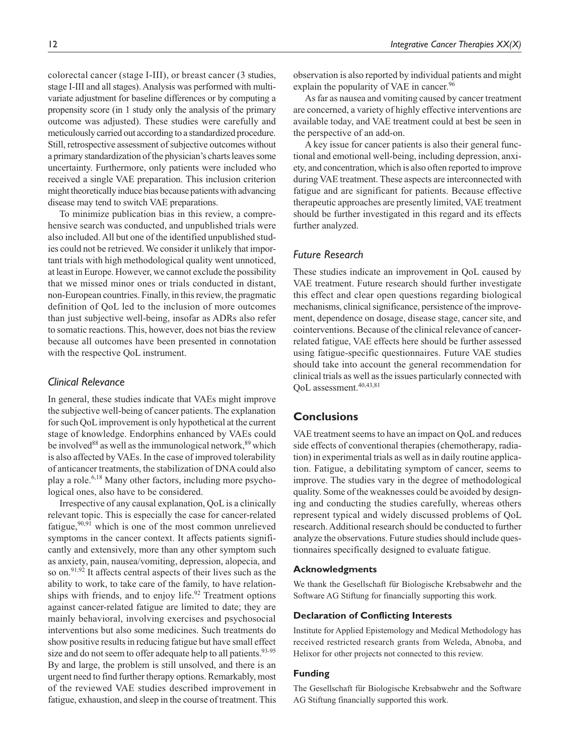colorectal cancer (stage I-III), or breast cancer (3 studies, stage I-III and all stages). Analysis was performed with multivariate adjustment for baseline differences or by computing a propensity score (in 1 study only the analysis of the primary outcome was adjusted). These studies were carefully and meticulously carried out according to a standardized procedure. Still, retrospective assessment of subjective outcomes without a primary standardization of the physician's charts leaves some uncertainty. Furthermore, only patients were included who received a single VAE preparation. This inclusion criterion might theoretically induce bias because patients with advancing disease may tend to switch VAE preparations.

To minimize publication bias in this review, a comprehensive search was conducted, and unpublished trials were also included. All but one of the identified unpublished studies could not be retrieved. We consider it unlikely that important trials with high methodological quality went unnoticed, at least in Europe. However, we cannot exclude the possibility that we missed minor ones or trials conducted in distant, non-European countries. Finally, in this review, the pragmatic definition of QoL led to the inclusion of more outcomes than just subjective well-being, insofar as ADRs also refer to somatic reactions. This, however, does not bias the review because all outcomes have been presented in connotation with the respective QoL instrument.

#### *Clinical Relevance*

In general, these studies indicate that VAEs might improve the subjective well-being of cancer patients. The explanation for such QoL improvement is only hypothetical at the current stage of knowledge. Endorphins enhanced by VAEs could be involved<sup>88</sup> as well as the immunological network, <sup>89</sup> which is also affected by VAEs. In the case of improved tolerability of anticancer treatments, the stabilization of DNA could also play a role.6,18 Many other factors, including more psychological ones, also have to be considered.

Irrespective of any causal explanation, QoL is a clinically relevant topic. This is especially the case for cancer-related fatigue, $90,91$  which is one of the most common unrelieved symptoms in the cancer context. It affects patients significantly and extensively, more than any other symptom such as anxiety, pain, nausea/vomiting, depression, alopecia, and so on.<sup>91,92</sup> It affects central aspects of their lives such as the ability to work, to take care of the family, to have relationships with friends, and to enjoy life.<sup>92</sup> Treatment options against cancer-related fatigue are limited to date; they are mainly behavioral, involving exercises and psychosocial interventions but also some medicines. Such treatments do show positive results in reducing fatigue but have small effect size and do not seem to offer adequate help to all patients.<sup>93-95</sup> By and large, the problem is still unsolved, and there is an urgent need to find further therapy options. Remarkably, most of the reviewed VAE studies described improvement in fatigue, exhaustion, and sleep in the course of treatment. This observation is also reported by individual patients and might explain the popularity of VAE in cancer.<sup>96</sup>

As far as nausea and vomiting caused by cancer treatment are concerned, a variety of highly effective interventions are available today, and VAE treatment could at best be seen in the perspective of an add-on.

A key issue for cancer patients is also their general functional and emotional well-being, including depression, anxiety, and concentration, which is also often reported to improve during VAE treatment. These aspects are interconnected with fatigue and are significant for patients. Because effective therapeutic approaches are presently limited, VAE treatment should be further investigated in this regard and its effects further analyzed.

#### *Future Research*

These studies indicate an improvement in QoL caused by VAE treatment. Future research should further investigate this effect and clear open questions regarding biological mechanisms, clinical significance, persistence of the improvement, dependence on dosage, disease stage, cancer site, and cointerventions. Because of the clinical relevance of cancerrelated fatigue, VAE effects here should be further assessed using fatigue-specific questionnaires. Future VAE studies should take into account the general recommendation for clinical trials as well as the issues particularly connected with QoL assessment.40,43,81

### **Conclusions**

VAE treatment seems to have an impact on QoL and reduces side effects of conventional therapies (chemotherapy, radiation) in experimental trials as well as in daily routine application. Fatigue, a debilitating symptom of cancer, seems to improve. The studies vary in the degree of methodological quality. Some of the weaknesses could be avoided by designing and conducting the studies carefully, whereas others represent typical and widely discussed problems of QoL research. Additional research should be conducted to further analyze the observations. Future studies should include questionnaires specifically designed to evaluate fatigue.

#### **Acknowledgments**

We thank the Gesellschaft für Biologische Krebsabwehr and the Software AG Stiftung for financially supporting this work.

#### **Declaration of Conflicting Interests**

Institute for Applied Epistemology and Medical Methodology has received restricted research grants from Weleda, Abnoba, and Helixor for other projects not connected to this review.

#### **Funding**

The Gesellschaft für Biologische Krebsabwehr and the Software AG Stiftung financially supported this work.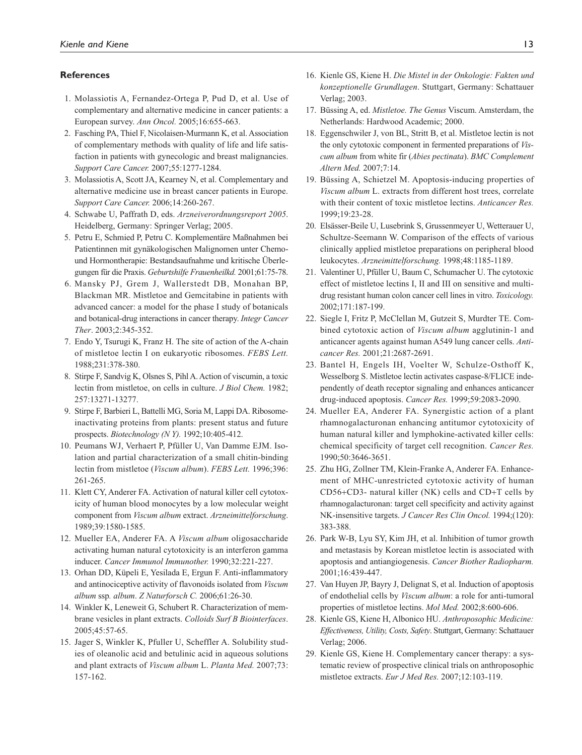#### **References**

- 1. Molassiotis A, Fernandez-Ortega P, Pud D, et al. Use of complementary and alternative medicine in cancer patients: a European survey. *Ann Oncol.* 2005;16:655-663.
- 2. Fasching PA, Thiel F, Nicolaisen-Murmann K, et al. Association of complementary methods with quality of life and life satisfaction in patients with gynecologic and breast malignancies. *Support Care Cancer.* 2007;55:1277-1284.
- 3. Molassiotis A, Scott JA, Kearney N, et al. Complementary and alternative medicine use in breast cancer patients in Europe. *Support Care Cancer.* 2006;14:260-267.
- 4. Schwabe U, Paffrath D, eds. *Arzneiverordnungsreport 2005*. Heidelberg, Germany: Springer Verlag; 2005.
- 5. Petru E, Schmied P, Petru C. Komplementäre Maßnahmen bei Patientinnen mit gynäkologischen Malignomen unter Chemound Hormontherapie: Bestandsaufnahme und kritische Überlegungen für die Praxis. *Geburtshilfe Frauenheilkd.* 2001;61:75-78.
- 6. Mansky PJ, Grem J, Wallerstedt DB, Monahan BP, Blackman MR. Mistletoe and Gemcitabine in patients with advanced cancer: a model for the phase I study of botanicals and botanical-drug interactions in cancer therapy. *Integr Cancer Ther*. 2003;2:345-352.
- 7. Endo Y, Tsurugi K, Franz H. The site of action of the A-chain of mistletoe lectin I on eukaryotic ribosomes. *FEBS Lett.* 1988;231:378-380.
- 8. Stirpe F, Sandvig K, Olsnes S, Pihl A. Action of viscumin, a toxic lectin from mistletoe, on cells in culture. *J Biol Chem.* 1982; 257:13271-13277.
- 9. Stirpe F, Barbieri L, Battelli MG, Soria M, Lappi DA. Ribosomeinactivating proteins from plants: present status and future prospects. *Biotechnology (N Y).* 1992;10:405-412.
- 10. Peumans WJ, Verhaert P, Pfüller U, Van Damme EJM. Isolation and partial characterization of a small chitin-binding lectin from mistletoe (*Viscum album*). *FEBS Lett.* 1996;396: 261-265.
- 11. Klett CY, Anderer FA. Activation of natural killer cell cytotoxicity of human blood monocytes by a low molecular weight component from *Viscum album* extract. *Arzneimittelforschung*. 1989;39:1580-1585.
- 12. Mueller EA, Anderer FA. A *Viscum album* oligosaccharide activating human natural cytotoxicity is an interferon gamma inducer. *Cancer Immunol Immunother.* 1990;32:221-227.
- 13. Orhan DD, Küpeli E, Yesilada E, Ergun F. Anti-inflammatory and antinociceptive activity of flavonoids isolated from *Viscum album* ssp*. album*. *Z Naturforsch C.* 2006;61:26-30.
- 14. Winkler K, Leneweit G, Schubert R. Characterization of membrane vesicles in plant extracts. *Colloids Surf B Biointerfaces*. 2005;45:57-65.
- 15. Jager S, Winkler K, Pfuller U, Scheffler A. Solubility studies of oleanolic acid and betulinic acid in aqueous solutions and plant extracts of *Viscum album* L. *Planta Med.* 2007;73: 157-162.
- 16. Kienle GS, Kiene H. *Die Mistel in der Onkologie: Fakten und konzeptionelle Grundlagen*. Stuttgart, Germany: Schattauer Verlag; 2003.
- 17. Büssing A, ed. *Mistletoe. The Genus* Viscum. Amsterdam, the Netherlands: Hardwood Academic; 2000.
- 18. Eggenschwiler J, von BL, Stritt B, et al. Mistletoe lectin is not the only cytotoxic component in fermented preparations of *Viscum album* from white fir (*Abies pectinata*). *BMC Complement Altern Med.* 2007;7:14.
- 19. Büssing A, Schietzel M. Apoptosis-inducing properties of *Viscum album* L. extracts from different host trees, correlate with their content of toxic mistletoe lectins. *Anticancer Res.* 1999;19:23-28.
- 20. Elsässer-Beile U, Lusebrink S, Grussenmeyer U, Wetterauer U, Schultze-Seemann W. Comparison of the effects of various clinically applied mistletoe preparations on peripheral blood leukocytes. *Arzneimittelforschung.* 1998;48:1185-1189.
- 21. Valentiner U, Pfüller U, Baum C, Schumacher U. The cytotoxic effect of mistletoe lectins I, II and III on sensitive and multidrug resistant human colon cancer cell lines in vitro. *Toxicology.* 2002;171:187-199.
- 22. Siegle I, Fritz P, McClellan M, Gutzeit S, Murdter TE. Combined cytotoxic action of *Viscum album* agglutinin-1 and anticancer agents against human A549 lung cancer cells. *Anticancer Res.* 2001;21:2687-2691.
- 23. Bantel H, Engels IH, Voelter W, Schulze-Osthoff K, Wesselborg S. Mistletoe lectin activates caspase-8/FLICE independently of death receptor signaling and enhances anticancer drug-induced apoptosis. *Cancer Res.* 1999;59:2083-2090.
- 24. Mueller EA, Anderer FA. Synergistic action of a plant rhamnogalacturonan enhancing antitumor cytotoxicity of human natural killer and lymphokine-activated killer cells: chemical specificity of target cell recognition. *Cancer Res.* 1990;50:3646-3651.
- 25. Zhu HG, Zollner TM, Klein-Franke A, Anderer FA. Enhancement of MHC-unrestricted cytotoxic activity of human CD56+CD3- natural killer (NK) cells and CD+T cells by rhamnogalacturonan: target cell specificity and activity against NK-insensitive targets. *J Cancer Res Clin Oncol.* 1994;(120): 383-388.
- 26. Park W-B, Lyu SY, Kim JH, et al. Inhibition of tumor growth and metastasis by Korean mistletoe lectin is associated with apoptosis and antiangiogenesis. *Cancer Biother Radiopharm.* 2001;16:439-447.
- 27. Van Huyen JP, Bayry J, Delignat S, et al. Induction of apoptosis of endothelial cells by *Viscum album*: a role for anti-tumoral properties of mistletoe lectins. *Mol Med.* 2002;8:600-606.
- 28. Kienle GS, Kiene H, Albonico HU. *Anthroposophic Medicine: Effectiveness, Utility, Costs, Safety*. Stuttgart, Germany: Schattauer Verlag; 2006.
- 29. Kienle GS, Kiene H. Complementary cancer therapy: a systematic review of prospective clinical trials on anthroposophic mistletoe extracts. *Eur J Med Res.* 2007;12:103-119.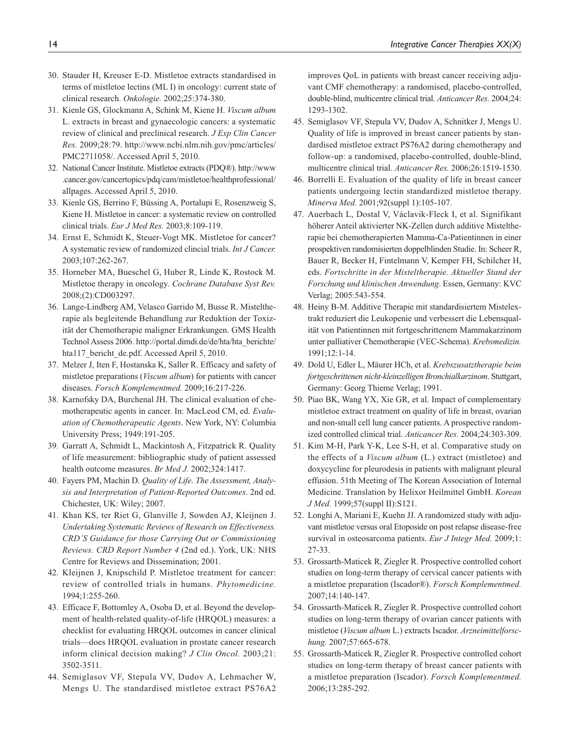- 30. Stauder H, Kreuser E-D. Mistletoe extracts standardised in terms of mistletoe lectins (ML I) in oncology: current state of clinical research. *Onkologie.* 2002;25:374-380.
- 31. Kienle GS, Glockmann A, Schink M, Kiene H. *Viscum album*  L. extracts in breast and gynaecologic cancers: a systematic review of clinical and preclinical research. *J Exp Clin Cancer Res.* 2009;28:79. http://www.ncbi.nlm.nih.gov/pmc/articles/ PMC2711058/. Accessed April 5, 2010.
- 32. National Cancer Institute. Mistletoe extracts (PDQ®). http://www .cancer.gov/cancertopics/pdq/cam/mistletoe/healthprofessional/ allpages. Accessed April 5, 2010.
- 33. Kienle GS, Berrino F, Büssing A, Portalupi E, Rosenzweig S, Kiene H. Mistletoe in cancer: a systematic review on controlled clinical trials. *Eur J Med Res.* 2003;8:109-119.
- 34. Ernst E, Schmidt K, Steuer-Vogt MK. Mistletoe for cancer? A systematic review of randomized clincial trials. *Int J Cancer.* 2003;107:262-267.
- 35. Horneber MA, Bueschel G, Huber R, Linde K, Rostock M. Mistletoe therapy in oncology. *Cochrane Database Syst Rev.* 2008;(2):CD003297.
- 36. Lange-Lindberg AM, Velasco Garrido M, Busse R. Misteltherapie als begleitende Behandlung zur Reduktion der Toxizität der Chemotherapie maligner Erkrankungen. GMS Health Technol Assess 2006. http://portal.dimdi.de/de/hta/hta\_berichte/ hta117\_bericht\_de.pdf. Accessed April 5, 2010.
- 37. Melzer J, Iten F, Hostanska K, Saller R. Efficacy and safety of mistletoe preparations (*Viscum album*) for patients with cancer diseases. *Forsch Komplementmed.* 2009;16:217-226.
- 38. Karnofsky DA, Burchenal JH. The clinical evaluation of chemotherapeutic agents in cancer. In: MacLeod CM, ed. *Evaluation of Chemotherapeutic Agents*. New York, NY: Columbia University Press; 1949:191-205.
- 39. Garratt A, Schmidt L, Mackintosh A, Fitzpatrick R. Quality of life measurement: bibliographic study of patient assessed health outcome measures. *Br Med J.* 2002;324:1417.
- 40. Fayers PM, Machin D. *Quality of Life. The Assessment, Analysis and Interpretation of Patient-Reported Outcomes*. 2nd ed. Chichester, UK: Wiley; 2007.
- 41. Khan KS, ter Riet G, Glanville J, Sowden AJ, Kleijnen J. *Undertaking Systematic Reviews of Research on Effectiveness. CRD'S Guidance for those Carrying Out or Commissioning Reviews. CRD Report Number 4* (2nd ed.). York, UK: NHS Centre for Reviews and Dissemination; 2001.
- 42. Kleijnen J, Knipschild P. Mistletoe treatment for cancer: review of controlled trials in humans. *Phytomedicine.* 1994;1:255-260.
- 43. Efficace F, Bottomley A, Osoba D, et al. Beyond the development of health-related quality-of-life (HRQOL) measures: a checklist for evaluating HRQOL outcomes in cancer clinical trials—does HRQOL evaluation in prostate cancer research inform clinical decision making? *J Clin Oncol.* 2003;21: 3502-3511.
- 44. Semiglasov VF, Stepula VV, Dudov A, Lehmacher W, Mengs U. The standardised mistletoe extract PS76A2

improves QoL in patients with breast cancer receiving adjuvant CMF chemotherapy: a randomised, placebo-controlled, double-blind, multicentre clinical trial. *Anticancer Res.* 2004;24: 1293-1302.

- 45. Semiglasov VF, Stepula VV, Dudov A, Schnitker J, Mengs U. Quality of life is improved in breast cancer patients by standardised mistletoe extract PS76A2 during chemotherapy and follow-up: a randomised, placebo-controlled, double-blind, multicentre clinical trial. *Anticancer Res.* 2006;26:1519-1530.
- 46. Borrelli E. Evaluation of the quality of life in breast cancer patients undergoing lectin standardized mistletoe therapy. *Minerva Med.* 2001;92(suppl 1):105-107.
- 47. Auerbach L, Dostal V, Václavik-Fleck I, et al. Signifikant höherer Anteil aktivierter NK-Zellen durch additive Misteltherapie bei chemotherapierten Mamma-Ca-Patientinnen in einer prospektiven randomisierten doppelblinden Studie. In: Scheer R, Bauer R, Becker H, Fintelmann V, Kemper FH, Schilcher H, eds. *Fortschritte in der Misteltherapie. Aktueller Stand der Forschung und klinischen Anwendung*. Essen, Germany: KVC Verlag; 2005:543-554.
- 48. Heiny B-M. Additive Therapie mit standardisiertem Mistelextrakt reduziert die Leukopenie und verbessert die Lebensqualität von Patientinnen mit fortgeschrittenem Mammakarzinom unter palliativer Chemotherapie (VEC-Schema). *Krebsmedizin.* 1991;12:1-14.
- 49. Dold U, Edler L, Mäurer HCh, et al. *Krebszusatztherapie beim fortgeschrittenen nicht-kleinzelligen Bronchialkarzinom*. Stuttgart, Germany: Georg Thieme Verlag; 1991.
- 50. Piao BK, Wang YX, Xie GR, et al. Impact of complementary mistletoe extract treatment on quality of life in breast, ovarian and non-small cell lung cancer patients. A prospective randomized controlled clinical trial. *Anticancer Res.* 2004;24:303-309.
- 51. Kim M-H, Park Y-K, Lee S-H, et al. Comparative study on the effects of a *Viscum album* (L.) extract (mistletoe) and doxycycline for pleurodesis in patients with malignant pleural effusion. 51th Meeting of The Korean Association of Internal Medicine. Translation by Helixor Heilmittel GmbH. *Korean J Med.* 1999;57(suppl II):S121.
- 52. Longhi A, Mariani E, Kuehn JJ. A randomized study with adjuvant mistletoe versus oral Etoposide on post relapse disease-free survival in osteosarcoma patients. *Eur J Integr Med.* 2009;1: 27-33.
- 53. Grossarth-Maticek R, Ziegler R. Prospective controlled cohort studies on long-term therapy of cervical cancer patients with a mistletoe preparation (Iscador®). *Forsch Komplementmed.* 2007;14:140-147.
- 54. Grossarth-Maticek R, Ziegler R. Prospective controlled cohort studies on long-term therapy of ovarian cancer patients with mistletoe (*Viscum album* L.) extracts Iscador. *Arzneimittelforschung.* 2007;57:665-678.
- 55. Grossarth-Maticek R, Ziegler R. Prospective controlled cohort studies on long-term therapy of breast cancer patients with a mistletoe preparation (Iscador). *Forsch Komplementmed.* 2006;13:285-292.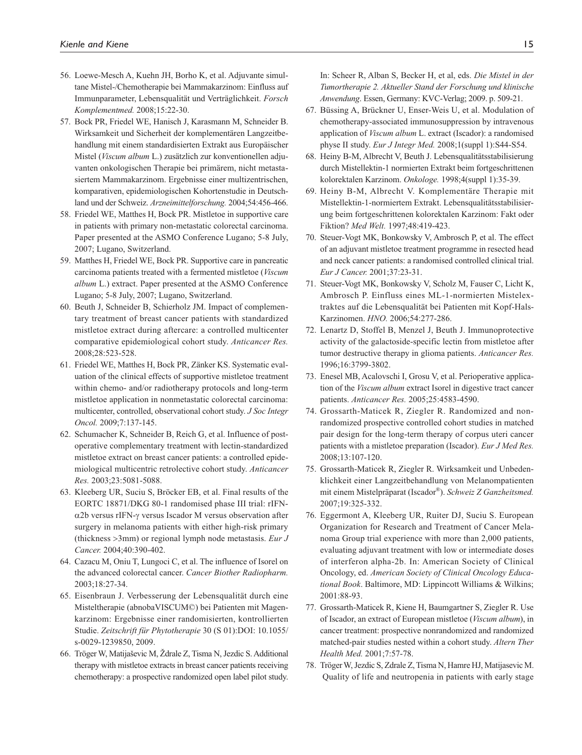- 56. Loewe-Mesch A, Kuehn JH, Borho K, et al. Adjuvante simultane Mistel-/Chemotherapie bei Mammakarzinom: Einfluss auf Immunparameter, Lebensqualität und Verträglichkeit. *Forsch Komplementmed.* 2008;15:22-30.
- 57. Bock PR, Friedel WE, Hanisch J, Karasmann M, Schneider B. Wirksamkeit und Sicherheit der komplementären Langzeitbehandlung mit einem standardisierten Extrakt aus Europäischer Mistel (*Viscum album* L.) zusätzlich zur konventionellen adjuvanten onkologischen Therapie bei primärem, nicht metastasiertem Mammakarzinom. Ergebnisse einer multizentrischen, komparativen, epidemiologischen Kohortenstudie in Deutschland und der Schweiz. *Arzneimittelforschung.* 2004;54:456-466.
- 58. Friedel WE, Matthes H, Bock PR. Mistletoe in supportive care in patients with primary non-metastatic colorectal carcinoma. Paper presented at the ASMO Conference Lugano; 5-8 July, 2007; Lugano, Switzerland.
- 59. Matthes H, Friedel WE, Bock PR. Supportive care in pancreatic carcinoma patients treated with a fermented mistletoe (*Viscum album* L.) extract. Paper presented at the ASMO Conference Lugano; 5-8 July, 2007; Lugano, Switzerland.
- 60. Beuth J, Schneider B, Schierholz JM. Impact of complementary treatment of breast cancer patients with standardized mistletoe extract during aftercare: a controlled multicenter comparative epidemiological cohort study. *Anticancer Res.* 2008;28:523-528.
- 61. Friedel WE, Matthes H, Bock PR, Zänker KS. Systematic evaluation of the clinical effects of supportive mistletoe treatment within chemo- and/or radiotherapy protocols and long-term mistletoe application in nonmetastatic colorectal carcinoma: multicenter, controlled, observational cohort study. *J Soc Integr Oncol.* 2009;7:137-145.
- 62. Schumacher K, Schneider B, Reich G, et al. Influence of postoperative complementary treatment with lectin-standardized mistletoe extract on breast cancer patients: a controlled epidemiological multicentric retrolective cohort study. *Anticancer Res.* 2003;23:5081-5088.
- 63. Kleeberg UR, Suciu S, Bröcker EB, et al. Final results of the EORTC 18871/DKG 80-1 randomised phase III trial: rIFNα2b versus rIFN-γ versus Iscador M versus observation after surgery in melanoma patients with either high-risk primary (thickness >3mm) or regional lymph node metastasis. *Eur J Cancer.* 2004;40:390-402.
- 64. Cazacu M, Oniu T, Lungoci C, et al. The influence of Isorel on the advanced colorectal cancer. *Cancer Biother Radiopharm.* 2003;18:27-34.
- 65. Eisenbraun J. Verbesserung der Lebensqualität durch eine Misteltherapie (abnobaVISCUM©) bei Patienten mit Magenkarzinom: Ergebnisse einer randomisierten, kontrollierten Studie. *Zeitschrift für Phytotherapie* 30 (S 01):DOI: 10.1055/ s-0029-1239850, 2009.
- 66. Tröger W, Matijaševic M, Ždrale Z, Tisma N, Jezdic S. Additional therapy with mistletoe extracts in breast cancer patients receiving chemotherapy: a prospective randomized open label pilot study.

In: Scheer R, Alban S, Becker H, et al, eds. *Die Mistel in der Tumortherapie 2. Aktueller Stand der Forschung und klinische Anwendung*. Essen, Germany: KVC-Verlag; 2009. p. 509-21.

- 67. Büssing A, Brückner U, Enser-Weis U, et al. Modulation of chemotherapy-associated immunosuppression by intravenous application of *Viscum album* L. extract (Iscador): a randomised physe II study. *Eur J Integr Med.* 2008;1(suppl 1):S44-S54.
- 68. Heiny B-M, Albrecht V, Beuth J. Lebensqualitätsstabilisierung durch Mistellektin-1 normierten Extrakt beim fortgeschrittenen kolorektalen Karzinom. *Onkologe.* 1998;4(suppl 1):35-39.
- 69. Heiny B-M, Albrecht V. Komplementäre Therapie mit Mistellektin-1-normiertem Extrakt. Lebensqualitätsstabilisierung beim fortgeschrittenen kolorektalen Karzinom: Fakt oder Fiktion? *Med Welt.* 1997;48:419-423.
- 70. Steuer-Vogt MK, Bonkowsky V, Ambrosch P, et al. The effect of an adjuvant mistletoe treatment programme in resected head and neck cancer patients: a randomised controlled clinical trial. *Eur J Cancer.* 2001;37:23-31.
- 71. Steuer-Vogt MK, Bonkowsky V, Scholz M, Fauser C, Licht K, Ambrosch P. Einfluss eines ML-1-normierten Mistelextraktes auf die Lebensqualität bei Patienten mit Kopf-Hals-Karzinomen. *HNO.* 2006;54:277-286.
- 72. Lenartz D, Stoffel B, Menzel J, Beuth J. Immunoprotective activity of the galactoside-specific lectin from mistletoe after tumor destructive therapy in glioma patients. *Anticancer Res.* 1996;16:3799-3802.
- 73. Enesel MB, Acalovschi I, Grosu V, et al. Perioperative application of the *Viscum album* extract Isorel in digestive tract cancer patients. *Anticancer Res.* 2005;25:4583-4590.
- 74. Grossarth-Maticek R, Ziegler R. Randomized and nonrandomized prospective controlled cohort studies in matched pair design for the long-term therapy of corpus uteri cancer patients with a mistletoe preparation (Iscador). *Eur J Med Res.* 2008;13:107-120.
- 75. Grossarth-Maticek R, Ziegler R. Wirksamkeit und Unbedenklichkeit einer Langzeitbehandlung von Melanompatienten mit einem Mistelpräparat (Iscador®). *Schweiz Z Ganzheitsmed.* 2007;19:325-332.
- 76. Eggermont A, Kleeberg UR, Ruiter DJ, Suciu S. European Organization for Research and Treatment of Cancer Melanoma Group trial experience with more than 2,000 patients, evaluating adjuvant treatment with low or intermediate doses of interferon alpha-2b. In: American Society of Clinical Oncology, ed. *American Society of Clinical Oncology Educational Book*. Baltimore, MD: Lippincott Williams & Wilkins; 2001:88-93.
- 77. Grossarth-Maticek R, Kiene H, Baumgartner S, Ziegler R. Use of Iscador, an extract of European mistletoe (*Viscum album*), in cancer treatment: prospective nonrandomized and randomized matched-pair studies nested within a cohort study. *Altern Ther Health Med.* 2001;7:57-78.
- 78. Tröger W, Jezdic S, Zdrale Z, Tisma N, Hamre HJ, Matijasevic M. Quality of life and neutropenia in patients with early stage